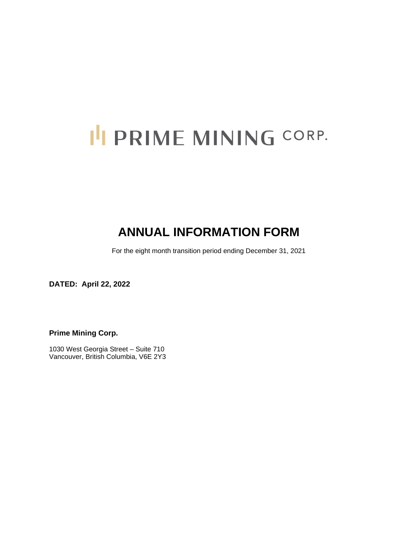# I'I PRIME MINING CORP.

# **ANNUAL INFORMATION FORM**

For the eight month transition period ending December 31, 2021

**DATED: April 22, 2022** 

**Prime Mining Corp.** 

1030 West Georgia Street – Suite 710 Vancouver, British Columbia, V6E 2Y3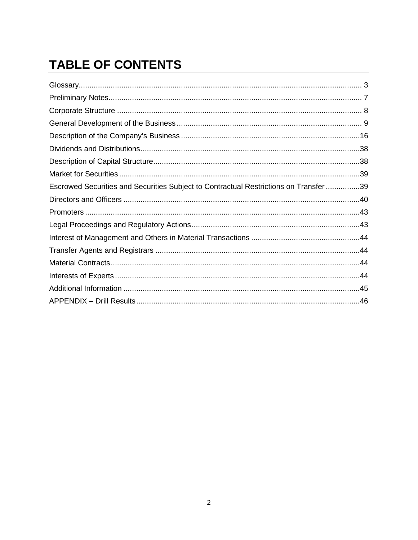# **TABLE OF CONTENTS**

| Escrowed Securities and Securities Subject to Contractual Restrictions on Transfer39 |  |
|--------------------------------------------------------------------------------------|--|
|                                                                                      |  |
|                                                                                      |  |
|                                                                                      |  |
|                                                                                      |  |
|                                                                                      |  |
|                                                                                      |  |
|                                                                                      |  |
|                                                                                      |  |
|                                                                                      |  |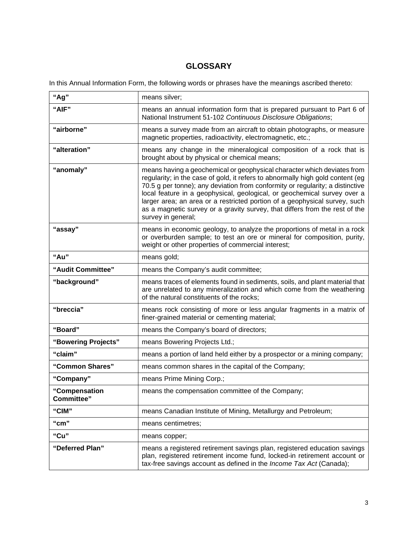# **GLOSSARY**

In this Annual Information Form, the following words or phrases have the meanings ascribed thereto:

| "Ag"                        | means silver;                                                                                                                                                                                                                                                                                                                                                                                                                                                                                             |
|-----------------------------|-----------------------------------------------------------------------------------------------------------------------------------------------------------------------------------------------------------------------------------------------------------------------------------------------------------------------------------------------------------------------------------------------------------------------------------------------------------------------------------------------------------|
| "AIF"                       | means an annual information form that is prepared pursuant to Part 6 of<br>National Instrument 51-102 Continuous Disclosure Obligations;                                                                                                                                                                                                                                                                                                                                                                  |
| "airborne"                  | means a survey made from an aircraft to obtain photographs, or measure<br>magnetic properties, radioactivity, electromagnetic, etc.;                                                                                                                                                                                                                                                                                                                                                                      |
| "alteration"                | means any change in the mineralogical composition of a rock that is<br>brought about by physical or chemical means;                                                                                                                                                                                                                                                                                                                                                                                       |
| "anomaly"                   | means having a geochemical or geophysical character which deviates from<br>regularity; in the case of gold, it refers to abnormally high gold content (eg<br>70.5 g per tonne); any deviation from conformity or regularity; a distinctive<br>local feature in a geophysical, geological, or geochemical survey over a<br>larger area; an area or a restricted portion of a geophysical survey, such<br>as a magnetic survey or a gravity survey, that differs from the rest of the<br>survey in general; |
| "assay"                     | means in economic geology, to analyze the proportions of metal in a rock<br>or overburden sample; to test an ore or mineral for composition, purity,<br>weight or other properties of commercial interest;                                                                                                                                                                                                                                                                                                |
| "Au"                        | means gold;                                                                                                                                                                                                                                                                                                                                                                                                                                                                                               |
| "Audit Committee"           | means the Company's audit committee;                                                                                                                                                                                                                                                                                                                                                                                                                                                                      |
| "background"                | means traces of elements found in sediments, soils, and plant material that<br>are unrelated to any mineralization and which come from the weathering<br>of the natural constituents of the rocks;                                                                                                                                                                                                                                                                                                        |
| "breccia"                   | means rock consisting of more or less angular fragments in a matrix of<br>finer-grained material or cementing material;                                                                                                                                                                                                                                                                                                                                                                                   |
| "Board"                     | means the Company's board of directors;                                                                                                                                                                                                                                                                                                                                                                                                                                                                   |
| "Bowering Projects"         | means Bowering Projects Ltd.;                                                                                                                                                                                                                                                                                                                                                                                                                                                                             |
| "claim"                     | means a portion of land held either by a prospector or a mining company;                                                                                                                                                                                                                                                                                                                                                                                                                                  |
| "Common Shares"             | means common shares in the capital of the Company;                                                                                                                                                                                                                                                                                                                                                                                                                                                        |
| "Company"                   | means Prime Mining Corp.;                                                                                                                                                                                                                                                                                                                                                                                                                                                                                 |
| "Compensation<br>Committee" | means the compensation committee of the Company;                                                                                                                                                                                                                                                                                                                                                                                                                                                          |
| "CIM"                       | means Canadian Institute of Mining, Metallurgy and Petroleum;                                                                                                                                                                                                                                                                                                                                                                                                                                             |
| "cm"                        | means centimetres;                                                                                                                                                                                                                                                                                                                                                                                                                                                                                        |
| "Cu"                        | means copper;                                                                                                                                                                                                                                                                                                                                                                                                                                                                                             |
| "Deferred Plan"             | means a registered retirement savings plan, registered education savings<br>plan, registered retirement income fund, locked-in retirement account or<br>tax-free savings account as defined in the Income Tax Act (Canada);                                                                                                                                                                                                                                                                               |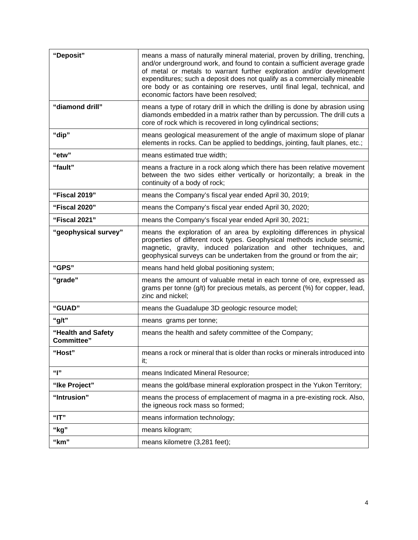| "Deposit"                               | means a mass of naturally mineral material, proven by drilling, trenching,<br>and/or underground work, and found to contain a sufficient average grade<br>of metal or metals to warrant further exploration and/or development<br>expenditures; such a deposit does not qualify as a commercially mineable<br>ore body or as containing ore reserves, until final legal, technical, and<br>economic factors have been resolved; |
|-----------------------------------------|---------------------------------------------------------------------------------------------------------------------------------------------------------------------------------------------------------------------------------------------------------------------------------------------------------------------------------------------------------------------------------------------------------------------------------|
| "diamond drill"                         | means a type of rotary drill in which the drilling is done by abrasion using<br>diamonds embedded in a matrix rather than by percussion. The drill cuts a<br>core of rock which is recovered in long cylindrical sections;                                                                                                                                                                                                      |
| "dip"                                   | means geological measurement of the angle of maximum slope of planar<br>elements in rocks. Can be applied to beddings, jointing, fault planes, etc.;                                                                                                                                                                                                                                                                            |
| "etw"                                   | means estimated true width;                                                                                                                                                                                                                                                                                                                                                                                                     |
| "fault"                                 | means a fracture in a rock along which there has been relative movement<br>between the two sides either vertically or horizontally; a break in the<br>continuity of a body of rock;                                                                                                                                                                                                                                             |
| "Fiscal 2019"                           | means the Company's fiscal year ended April 30, 2019;                                                                                                                                                                                                                                                                                                                                                                           |
| "Fiscal 2020"                           | means the Company's fiscal year ended April 30, 2020;                                                                                                                                                                                                                                                                                                                                                                           |
| "Fiscal 2021"                           | means the Company's fiscal year ended April 30, 2021;                                                                                                                                                                                                                                                                                                                                                                           |
| "geophysical survey"                    | means the exploration of an area by exploiting differences in physical<br>properties of different rock types. Geophysical methods include seismic,<br>magnetic, gravity, induced polarization and other techniques, and<br>geophysical surveys can be undertaken from the ground or from the air;                                                                                                                               |
| "GPS"                                   | means hand held global positioning system;                                                                                                                                                                                                                                                                                                                                                                                      |
| "grade"                                 | means the amount of valuable metal in each tonne of ore, expressed as<br>grams per tonne (g/t) for precious metals, as percent (%) for copper, lead,<br>zinc and nickel;                                                                                                                                                                                                                                                        |
| "GUAD"                                  | means the Guadalupe 3D geologic resource model;                                                                                                                                                                                                                                                                                                                                                                                 |
| "g/t"                                   | means grams per tonne;                                                                                                                                                                                                                                                                                                                                                                                                          |
| "Health and Safety<br><b>Committee"</b> | means the health and safety committee of the Company;                                                                                                                                                                                                                                                                                                                                                                           |
| "Host"                                  | means a rock or mineral that is older than rocks or minerals introduced into<br>it;                                                                                                                                                                                                                                                                                                                                             |
| ""                                      | means Indicated Mineral Resource;                                                                                                                                                                                                                                                                                                                                                                                               |
| "Ike Project"                           | means the gold/base mineral exploration prospect in the Yukon Territory;                                                                                                                                                                                                                                                                                                                                                        |
| "Intrusion"                             | means the process of emplacement of magma in a pre-existing rock. Also,<br>the igneous rock mass so formed;                                                                                                                                                                                                                                                                                                                     |
| "IT"                                    | means information technology;                                                                                                                                                                                                                                                                                                                                                                                                   |
| "kg"                                    | means kilogram;                                                                                                                                                                                                                                                                                                                                                                                                                 |
| "km"                                    | means kilometre (3,281 feet);                                                                                                                                                                                                                                                                                                                                                                                                   |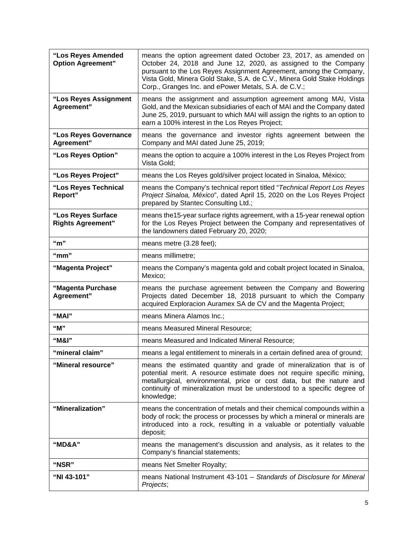| "Los Reyes Amended<br><b>Option Agreement"</b> | means the option agreement dated October 23, 2017, as amended on<br>October 24, 2018 and June 12, 2020, as assigned to the Company<br>pursuant to the Los Reyes Assignment Agreement, among the Company,<br>Vista Gold, Minera Gold Stake, S.A. de C.V., Minera Gold Stake Holdings<br>Corp., Granges Inc. and ePower Metals, S.A. de C.V.; |
|------------------------------------------------|---------------------------------------------------------------------------------------------------------------------------------------------------------------------------------------------------------------------------------------------------------------------------------------------------------------------------------------------|
| "Los Reyes Assignment<br>Agreement"            | means the assignment and assumption agreement among MAI, Vista<br>Gold, and the Mexican subsidiaries of each of MAI and the Company dated<br>June 25, 2019, pursuant to which MAI will assign the rights to an option to<br>earn a 100% interest in the Los Reyes Project;                                                                  |
| "Los Reyes Governance<br>Agreement"            | means the governance and investor rights agreement between the<br>Company and MAI dated June 25, 2019;                                                                                                                                                                                                                                      |
| "Los Reyes Option"                             | means the option to acquire a 100% interest in the Los Reyes Project from<br>Vista Gold;                                                                                                                                                                                                                                                    |
| "Los Reyes Project"                            | means the Los Reyes gold/silver project located in Sinaloa, México;                                                                                                                                                                                                                                                                         |
| "Los Reyes Technical<br>Report"                | means the Company's technical report titled "Technical Report Los Reyes<br>Project Sinaloa, México", dated April 15, 2020 on the Los Reyes Project<br>prepared by Stantec Consulting Ltd.;                                                                                                                                                  |
| "Los Reyes Surface<br><b>Rights Agreement"</b> | means the 15-year surface rights agreement, with a 15-year renewal option<br>for the Los Reyes Project between the Company and representatives of<br>the landowners dated February 20, 2020;                                                                                                                                                |
| " $m$ "                                        | means metre (3.28 feet);                                                                                                                                                                                                                                                                                                                    |
| " $mm"$                                        | means millimetre;                                                                                                                                                                                                                                                                                                                           |
| "Magenta Project"                              | means the Company's magenta gold and cobalt project located in Sinaloa,<br>Mexico;                                                                                                                                                                                                                                                          |
| "Magenta Purchase<br>Agreement"                | means the purchase agreement between the Company and Bowering<br>Projects dated December 18, 2018 pursuant to which the Company<br>acquired Exploracion Auramex SA de CV and the Magenta Project;                                                                                                                                           |
| "MAI"                                          | means Minera Alamos Inc.;                                                                                                                                                                                                                                                                                                                   |
| "M"                                            | means Measured Mineral Resource;                                                                                                                                                                                                                                                                                                            |
| "M&I"                                          | means Measured and Indicated Mineral Resource;                                                                                                                                                                                                                                                                                              |
| "mineral claim"                                | means a legal entitlement to minerals in a certain defined area of ground;                                                                                                                                                                                                                                                                  |
| "Mineral resource"                             | means the estimated quantity and grade of mineralization that is of<br>potential merit. A resource estimate does not require specific mining,<br>metallurgical, environmental, price or cost data, but the nature and<br>continuity of mineralization must be understood to a specific degree of<br>knowledge;                              |
| "Mineralization"                               | means the concentration of metals and their chemical compounds within a<br>body of rock; the process or processes by which a mineral or minerals are<br>introduced into a rock, resulting in a valuable or potentially valuable<br>deposit;                                                                                                 |
| "MD&A"                                         | means the management's discussion and analysis, as it relates to the<br>Company's financial statements;                                                                                                                                                                                                                                     |
| "NSR"                                          | means Net Smelter Royalty;                                                                                                                                                                                                                                                                                                                  |
| "NI 43-101"                                    | means National Instrument 43-101 - Standards of Disclosure for Mineral<br>Projects;                                                                                                                                                                                                                                                         |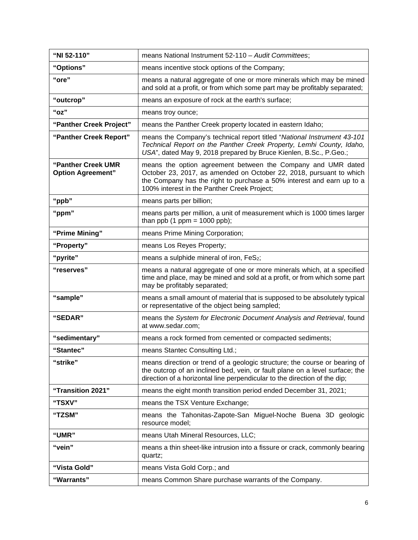| "NI 52-110"                                    | means National Instrument 52-110 - Audit Committees;                                                                                                                                                                                                        |
|------------------------------------------------|-------------------------------------------------------------------------------------------------------------------------------------------------------------------------------------------------------------------------------------------------------------|
| "Options"                                      | means incentive stock options of the Company;                                                                                                                                                                                                               |
| "ore"                                          | means a natural aggregate of one or more minerals which may be mined<br>and sold at a profit, or from which some part may be profitably separated;                                                                                                          |
| "outcrop"                                      | means an exposure of rock at the earth's surface;                                                                                                                                                                                                           |
| "oz"                                           | means troy ounce;                                                                                                                                                                                                                                           |
| "Panther Creek Project"                        | means the Panther Creek property located in eastern Idaho;                                                                                                                                                                                                  |
| "Panther Creek Report"                         | means the Company's technical report titled "National Instrument 43-101<br>Technical Report on the Panther Creek Property, Lemhi County, Idaho,<br>USA", dated May 9, 2018 prepared by Bruce Kienlen, B.Sc., P.Geo.;                                        |
| "Panther Creek UMR<br><b>Option Agreement"</b> | means the option agreement between the Company and UMR dated<br>October 23, 2017, as amended on October 22, 2018, pursuant to which<br>the Company has the right to purchase a 50% interest and earn up to a<br>100% interest in the Panther Creek Project; |
| "ppb"                                          | means parts per billion;                                                                                                                                                                                                                                    |
| "ppm"                                          | means parts per million, a unit of measurement which is 1000 times larger<br>than ppb $(1$ ppm = 1000 ppb);                                                                                                                                                 |
| "Prime Mining"                                 | means Prime Mining Corporation;                                                                                                                                                                                                                             |
| "Property"                                     | means Los Reyes Property;                                                                                                                                                                                                                                   |
| "pyrite"                                       | means a sulphide mineral of iron, FeS2;                                                                                                                                                                                                                     |
| "reserves"                                     | means a natural aggregate of one or more minerals which, at a specified<br>time and place, may be mined and sold at a profit, or from which some part<br>may be profitably separated;                                                                       |
| "sample"                                       | means a small amount of material that is supposed to be absolutely typical<br>or representative of the object being sampled;                                                                                                                                |
| "SEDAR"                                        | means the System for Electronic Document Analysis and Retrieval, found<br>at www.sedar.com;                                                                                                                                                                 |
| "sedimentary"                                  | means a rock formed from cemented or compacted sediments;                                                                                                                                                                                                   |
| "Stantec"                                      | means Stantec Consulting Ltd.;                                                                                                                                                                                                                              |
| "strike"                                       | means direction or trend of a geologic structure; the course or bearing of<br>the outcrop of an inclined bed, vein, or fault plane on a level surface; the<br>direction of a horizontal line perpendicular to the direction of the dip;                     |
| "Transition 2021"                              | means the eight month transition period ended December 31, 2021;                                                                                                                                                                                            |
| "TSXV"                                         | means the TSX Venture Exchange;                                                                                                                                                                                                                             |
| "TZSM"                                         | means the Tahonitas-Zapote-San Miguel-Noche Buena 3D geologic<br>resource model;                                                                                                                                                                            |
| "UMR"                                          | means Utah Mineral Resources, LLC;                                                                                                                                                                                                                          |
| "vein"                                         | means a thin sheet-like intrusion into a fissure or crack, commonly bearing<br>quartz;                                                                                                                                                                      |
| "Vista Gold"                                   | means Vista Gold Corp.; and                                                                                                                                                                                                                                 |
| "Warrants"                                     | means Common Share purchase warrants of the Company.                                                                                                                                                                                                        |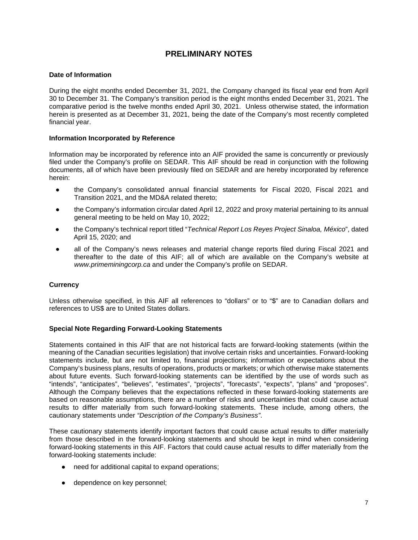# **PRELIMINARY NOTES**

#### **Date of Information**

During the eight months ended December 31, 2021, the Company changed its fiscal year end from April 30 to December 31. The Company's transition period is the eight months ended December 31, 2021. The comparative period is the twelve months ended April 30, 2021. Unless otherwise stated, the information herein is presented as at December 31, 2021, being the date of the Company's most recently completed financial year.

#### **Information Incorporated by Reference**

Information may be incorporated by reference into an AIF provided the same is concurrently or previously filed under the Company's profile on SEDAR. This AIF should be read in conjunction with the following documents, all of which have been previously filed on SEDAR and are hereby incorporated by reference herein:

- the Company's consolidated annual financial statements for Fiscal 2020, Fiscal 2021 and Transition 2021, and the MD&A related thereto;
- the Company's information circular dated April 12, 2022 and proxy material pertaining to its annual general meeting to be held on May 10, 2022;
- the Company's technical report titled "*Technical Report Los Reyes Project Sinaloa, México*", dated April 15, 2020; and
- all of the Company's news releases and material change reports filed during Fiscal 2021 and thereafter to the date of this AIF; all of which are available on the Company's website at *www.primeminingcorp.ca* and under the Company's profile on SEDAR.

#### **Currency**

Unless otherwise specified, in this AIF all references to "dollars" or to "\$" are to Canadian dollars and references to US\$ are to United States dollars.

#### **Special Note Regarding Forward-Looking Statements**

Statements contained in this AIF that are not historical facts are forward-looking statements (within the meaning of the Canadian securities legislation) that involve certain risks and uncertainties. Forward-looking statements include, but are not limited to, financial projections; information or expectations about the Company's business plans, results of operations, products or markets; or which otherwise make statements about future events. Such forward-looking statements can be identified by the use of words such as "intends", "anticipates", "believes", "estimates", "projects", "forecasts", "expects", "plans" and "proposes". Although the Company believes that the expectations reflected in these forward-looking statements are based on reasonable assumptions, there are a number of risks and uncertainties that could cause actual results to differ materially from such forward-looking statements. These include, among others, the cautionary statements under *"Description of the Company's Business"*.

These cautionary statements identify important factors that could cause actual results to differ materially from those described in the forward-looking statements and should be kept in mind when considering forward-looking statements in this AIF. Factors that could cause actual results to differ materially from the forward-looking statements include:

- need for additional capital to expand operations;
- dependence on key personnel;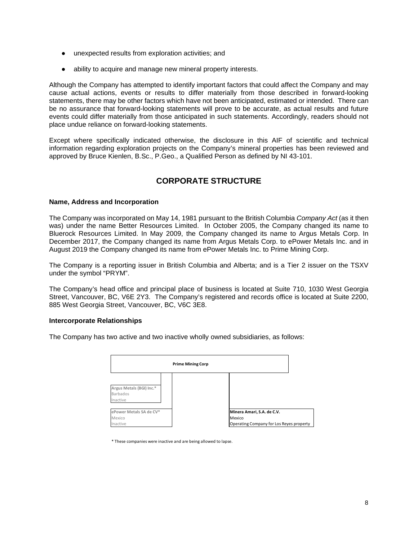- unexpected results from exploration activities; and
- ability to acquire and manage new mineral property interests.

Although the Company has attempted to identify important factors that could affect the Company and may cause actual actions, events or results to differ materially from those described in forward-looking statements, there may be other factors which have not been anticipated, estimated or intended. There can be no assurance that forward-looking statements will prove to be accurate, as actual results and future events could differ materially from those anticipated in such statements. Accordingly, readers should not place undue reliance on forward-looking statements.

Except where specifically indicated otherwise, the disclosure in this AIF of scientific and technical information regarding exploration projects on the Company's mineral properties has been reviewed and approved by Bruce Kienlen, B.Sc., P.Geo., a Qualified Person as defined by NI 43-101.

# **CORPORATE STRUCTURE**

#### **Name, Address and Incorporation**

The Company was incorporated on May 14, 1981 pursuant to the British Columbia *Company Act* (as it then was) under the name Better Resources Limited. In October 2005, the Company changed its name to Bluerock Resources Limited. In May 2009, the Company changed its name to Argus Metals Corp. In December 2017, the Company changed its name from Argus Metals Corp. to ePower Metals Inc. and in August 2019 the Company changed its name from ePower Metals Inc. to Prime Mining Corp.

The Company is a reporting issuer in British Columbia and Alberta; and is a Tier 2 issuer on the TSXV under the symbol "PRYM".

The Company's head office and principal place of business is located at Suite 710, 1030 West Georgia Street, Vancouver, BC, V6E 2Y3. The Company's registered and records office is located at Suite 2200, 885 West Georgia Street, Vancouver, BC, V6C 3E8.

#### **Intercorporate Relationships**

The Company has two active and two inactive wholly owned subsidiaries, as follows:



\* These companies were inactive and are being allowed to lapse.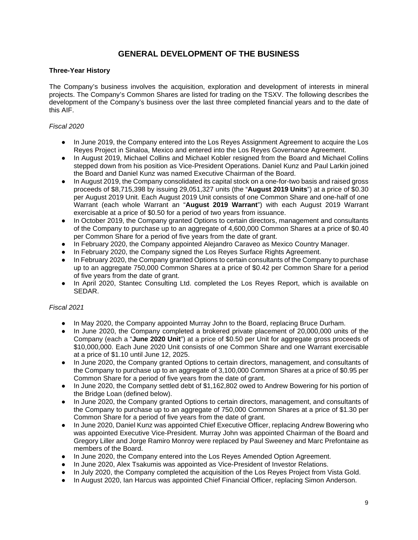# **GENERAL DEVELOPMENT OF THE BUSINESS**

#### **Three-Year History**

The Company's business involves the acquisition, exploration and development of interests in mineral projects. The Company's Common Shares are listed for trading on the TSXV. The following describes the development of the Company's business over the last three completed financial years and to the date of this AIF.

#### *Fiscal 2020*

- In June 2019, the Company entered into the Los Reyes Assignment Agreement to acquire the Los Reyes Project in Sinaloa, Mexico and entered into the Los Reyes Governance Agreement.
- In August 2019, Michael Collins and Michael Kobler resigned from the Board and Michael Collins stepped down from his position as Vice-President Operations. Daniel Kunz and Paul Larkin joined the Board and Daniel Kunz was named Executive Chairman of the Board.
- In August 2019, the Company consolidated its capital stock on a one-for-two basis and raised gross proceeds of \$8,715,398 by issuing 29,051,327 units (the "**August 2019 Units**") at a price of \$0.30 per August 2019 Unit. Each August 2019 Unit consists of one Common Share and one-half of one Warrant (each whole Warrant an "**August 2019 Warrant**") with each August 2019 Warrant exercisable at a price of \$0.50 for a period of two years from issuance.
- In October 2019, the Company granted Options to certain directors, management and consultants of the Company to purchase up to an aggregate of 4,600,000 Common Shares at a price of \$0.40 per Common Share for a period of five years from the date of grant.
- In February 2020, the Company appointed Alejandro Caraveo as Mexico Country Manager.
- In February 2020, the Company signed the Los Reyes Surface Rights Agreement.
- In February 2020, the Company granted Options to certain consultants of the Company to purchase up to an aggregate 750,000 Common Shares at a price of \$0.42 per Common Share for a period of five years from the date of grant.
- In April 2020, Stantec Consulting Ltd. completed the Los Reyes Report, which is available on SEDAR.

#### *Fiscal 2021*

- In May 2020, the Company appointed Murray John to the Board, replacing Bruce Durham.
- In June 2020, the Company completed a brokered private placement of 20,000,000 units of the Company (each a "**June 2020 Unit**") at a price of \$0.50 per Unit for aggregate gross proceeds of \$10,000,000. Each June 2020 Unit consists of one Common Share and one Warrant exercisable at a price of \$1.10 until June 12, 2025.
- In June 2020, the Company granted Options to certain directors, management, and consultants of the Company to purchase up to an aggregate of 3,100,000 Common Shares at a price of \$0.95 per Common Share for a period of five years from the date of grant.
- In June 2020, the Company settled debt of \$1,162,802 owed to Andrew Bowering for his portion of the Bridge Loan (defined below).
- In June 2020, the Company granted Options to certain directors, management, and consultants of the Company to purchase up to an aggregate of 750,000 Common Shares at a price of \$1.30 per Common Share for a period of five years from the date of grant.
- In June 2020, Daniel Kunz was appointed Chief Executive Officer, replacing Andrew Bowering who was appointed Executive Vice-President. Murray John was appointed Chairman of the Board and Gregory Liller and Jorge Ramiro Monroy were replaced by Paul Sweeney and Marc Prefontaine as members of the Board.
- In June 2020, the Company entered into the Los Reyes Amended Option Agreement.
- In June 2020, Alex Tsakumis was appointed as Vice-President of Investor Relations.
- In July 2020, the Company completed the acquisition of the Los Reyes Project from Vista Gold.
- In August 2020, Ian Harcus was appointed Chief Financial Officer, replacing Simon Anderson.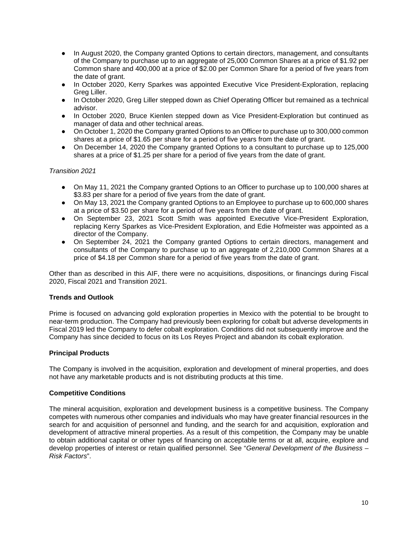- In August 2020, the Company granted Options to certain directors, management, and consultants of the Company to purchase up to an aggregate of 25,000 Common Shares at a price of \$1.92 per Common share and 400,000 at a price of \$2.00 per Common Share for a period of five years from the date of grant.
- In October 2020, Kerry Sparkes was appointed Executive Vice President-Exploration, replacing Greg Liller.
- In October 2020, Greg Liller stepped down as Chief Operating Officer but remained as a technical advisor.
- In October 2020, Bruce Kienlen stepped down as Vice President-Exploration but continued as manager of data and other technical areas.
- On October 1, 2020 the Company granted Options to an Officer to purchase up to 300,000 common shares at a price of \$1.65 per share for a period of five years from the date of grant.
- On December 14, 2020 the Company granted Options to a consultant to purchase up to 125,000 shares at a price of \$1.25 per share for a period of five years from the date of grant.

#### *Transition 2021*

- On May 11, 2021 the Company granted Options to an Officer to purchase up to 100,000 shares at \$3.83 per share for a period of five years from the date of grant.
- On May 13, 2021 the Company granted Options to an Employee to purchase up to 600,000 shares at a price of \$3.50 per share for a period of five years from the date of grant.
- On September 23, 2021 Scott Smith was appointed Executive Vice-President Exploration, replacing Kerry Sparkes as Vice-President Exploration, and Edie Hofmeister was appointed as a director of the Company.
- On September 24, 2021 the Company granted Options to certain directors, management and consultants of the Company to purchase up to an aggregate of 2,210,000 Common Shares at a price of \$4.18 per Common share for a period of five years from the date of grant.

Other than as described in this AIF, there were no acquisitions, dispositions, or financings during Fiscal 2020, Fiscal 2021 and Transition 2021.

#### **Trends and Outlook**

Prime is focused on advancing gold exploration properties in Mexico with the potential to be brought to near-term production. The Company had previously been exploring for cobalt but adverse developments in Fiscal 2019 led the Company to defer cobalt exploration. Conditions did not subsequently improve and the Company has since decided to focus on its Los Reyes Project and abandon its cobalt exploration.

#### **Principal Products**

The Company is involved in the acquisition, exploration and development of mineral properties, and does not have any marketable products and is not distributing products at this time.

#### **Competitive Conditions**

The mineral acquisition, exploration and development business is a competitive business. The Company competes with numerous other companies and individuals who may have greater financial resources in the search for and acquisition of personnel and funding, and the search for and acquisition, exploration and development of attractive mineral properties. As a result of this competition, the Company may be unable to obtain additional capital or other types of financing on acceptable terms or at all, acquire, explore and develop properties of interest or retain qualified personnel. See "*General Development of the Business – Risk Factors*".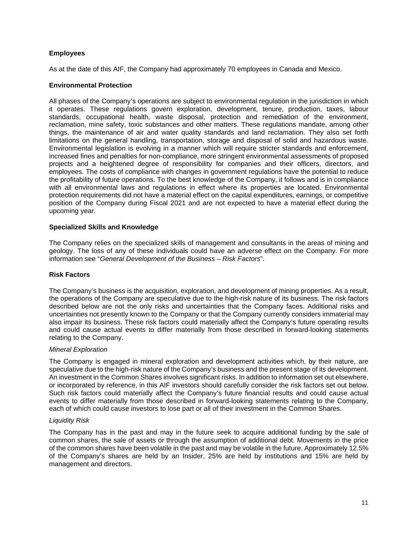#### **Employees**

As at the date of this AIF, the Company had approximately 70 employees in Canada and Mexico.

#### **Environmental Protection**

All phases of the Company's operations are subject to environmental regulation in the jurisdiction in which it operates. These regulations govern exploration, development, tenure, production, taxes, labour standards, occupational health, waste disposal, protection and remediation of the environment, reclamation, mine safety, toxic substances and other matters. These regulations mandate, among other things, the maintenance of air and water quality standards and land reclamation. They also set forth limitations on the general handling, transportation, storage and disposal of solid and hazardous waste. Environmental legislation is evolving in a manner which will require stricter standards and enforcement, increased fines and penalties for non-compliance, more stringent environmental assessments of proposed projects and a heightened degree of responsibility for companies and their officers, directors, and employees. The costs of compliance with changes in government regulations have the potential to reduce the profitability of future operations. To the best knowledge of the Company, it follows and is in compliance with all environmental laws and regulations in effect where its properties are located. Environmental protection requirements did not have a material effect on the capital expenditures, earnings, or competitive position of the Company during Fiscal 2021 and are not expected to have a material effect during the upcoming year.

#### **Specialized Skills and Knowledge**

The Company relies on the specialized skills of management and consultants in the areas of mining and geology. The loss of any of these individuals could have an adverse effect on the Company. For more information see "*General Development of the Business – Risk Factors*".

#### **Risk Factors**

The Company's business is the acquisition, exploration, and development of mining properties. As a result, the operations of the Company are speculative due to the high-risk nature of its business. The risk factors described below are not the only risks and uncertainties that the Company faces. Additional risks and uncertainties not presently known to the Company or that the Company currently considers immaterial may also impair its business. These risk factors could materially affect the Company's future operating results and could cause actual events to differ materially from those described in forward-looking statements relating to the Company.

#### *Mineral Exploration*

The Company is engaged in mineral exploration and development activities which, by their nature, are speculative due to the high-risk nature of the Company's business and the present stage of its development. An investment in the Common Shares involves significant risks. In addition to information set out elsewhere, or incorporated by reference, in this AIF investors should carefully consider the risk factors set out below. Such risk factors could materially affect the Company's future financial results and could cause actual events to differ materially from those described in forward-looking statements relating to the Company, each of which could cause investors to lose part or all of their investment in the Common Shares.

#### *Liquidity Risk*

The Company has in the past and may in the future seek to acquire additional funding by the sale of common shares, the sale of assets or through the assumption of additional debt. Movements in the price of the common shares have been volatile in the past and may be volatile in the future. Approximately 12.5% of the Company's shares are held by an Insider, 25% are held by institutions and 15% are held by management and directors.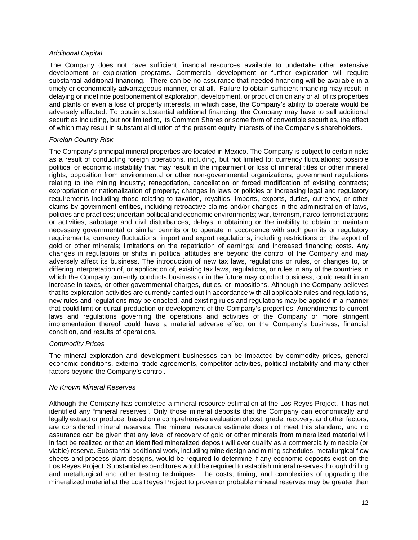#### *Additional Capital*

The Company does not have sufficient financial resources available to undertake other extensive development or exploration programs. Commercial development or further exploration will require substantial additional financing. There can be no assurance that needed financing will be available in a timely or economically advantageous manner, or at all. Failure to obtain sufficient financing may result in delaying or indefinite postponement of exploration, development, or production on any or all of its properties and plants or even a loss of property interests, in which case, the Company's ability to operate would be adversely affected. To obtain substantial additional financing, the Company may have to sell additional securities including, but not limited to, its Common Shares or some form of convertible securities, the effect of which may result in substantial dilution of the present equity interests of the Company's shareholders.

#### *Foreign Country Risk*

The Company's principal mineral properties are located in Mexico. The Company is subject to certain risks as a result of conducting foreign operations, including, but not limited to: currency fluctuations; possible political or economic instability that may result in the impairment or loss of mineral titles or other mineral rights; opposition from environmental or other non-governmental organizations; government regulations relating to the mining industry; renegotiation, cancellation or forced modification of existing contracts; expropriation or nationalization of property; changes in laws or policies or increasing legal and regulatory requirements including those relating to taxation, royalties, imports, exports, duties, currency, or other claims by government entities, including retroactive claims and/or changes in the administration of laws, policies and practices; uncertain political and economic environments; war, terrorism, narco-terrorist actions or activities, sabotage and civil disturbances; delays in obtaining or the inability to obtain or maintain necessary governmental or similar permits or to operate in accordance with such permits or regulatory requirements; currency fluctuations; import and export regulations, including restrictions on the export of gold or other minerals; limitations on the repatriation of earnings; and increased financing costs. Any changes in regulations or shifts in political attitudes are beyond the control of the Company and may adversely affect its business. The introduction of new tax laws, regulations or rules, or changes to, or differing interpretation of, or application of, existing tax laws, regulations, or rules in any of the countries in which the Company currently conducts business or in the future may conduct business, could result in an increase in taxes, or other governmental charges, duties, or impositions. Although the Company believes that its exploration activities are currently carried out in accordance with all applicable rules and regulations, new rules and regulations may be enacted, and existing rules and regulations may be applied in a manner that could limit or curtail production or development of the Company's properties. Amendments to current laws and regulations governing the operations and activities of the Company or more stringent implementation thereof could have a material adverse effect on the Company's business, financial condition, and results of operations.

#### *Commodity Prices*

The mineral exploration and development businesses can be impacted by commodity prices, general economic conditions, external trade agreements, competitor activities, political instability and many other factors beyond the Company's control.

#### *No Known Mineral Reserves*

Although the Company has completed a mineral resource estimation at the Los Reyes Project, it has not identified any "mineral reserves". Only those mineral deposits that the Company can economically and legally extract or produce, based on a comprehensive evaluation of cost, grade, recovery, and other factors, are considered mineral reserves. The mineral resource estimate does not meet this standard, and no assurance can be given that any level of recovery of gold or other minerals from mineralized material will in fact be realized or that an identified mineralized deposit will ever qualify as a commercially mineable (or viable) reserve. Substantial additional work, including mine design and mining schedules, metallurgical flow sheets and process plant designs, would be required to determine if any economic deposits exist on the Los Reyes Project. Substantial expenditures would be required to establish mineral reserves through drilling and metallurgical and other testing techniques. The costs, timing, and complexities of upgrading the mineralized material at the Los Reyes Project to proven or probable mineral reserves may be greater than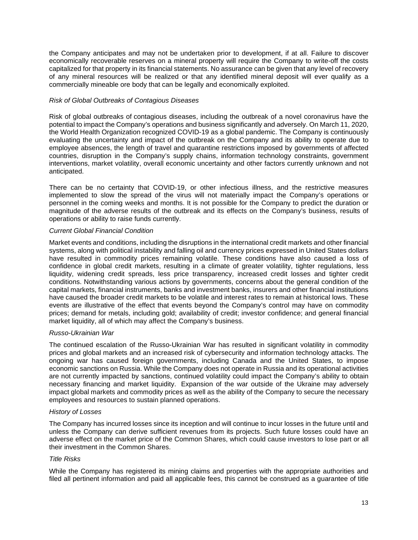the Company anticipates and may not be undertaken prior to development, if at all. Failure to discover economically recoverable reserves on a mineral property will require the Company to write-off the costs capitalized for that property in its financial statements. No assurance can be given that any level of recovery of any mineral resources will be realized or that any identified mineral deposit will ever qualify as a commercially mineable ore body that can be legally and economically exploited.

#### *Risk of Global Outbreaks of Contagious Diseases*

Risk of global outbreaks of contagious diseases, including the outbreak of a novel coronavirus have the potential to impact the Company's operations and business significantly and adversely. On March 11, 2020, the World Health Organization recognized COVID-19 as a global pandemic. The Company is continuously evaluating the uncertainty and impact of the outbreak on the Company and its ability to operate due to employee absences, the length of travel and quarantine restrictions imposed by governments of affected countries, disruption in the Company's supply chains, information technology constraints, government interventions, market volatility, overall economic uncertainty and other factors currently unknown and not anticipated.

There can be no certainty that COVID-19, or other infectious illness, and the restrictive measures implemented to slow the spread of the virus will not materially impact the Company's operations or personnel in the coming weeks and months. It is not possible for the Company to predict the duration or magnitude of the adverse results of the outbreak and its effects on the Company's business, results of operations or ability to raise funds currently.

#### *Current Global Financial Condition*

Market events and conditions, including the disruptions in the international credit markets and other financial systems, along with political instability and falling oil and currency prices expressed in United States dollars have resulted in commodity prices remaining volatile. These conditions have also caused a loss of confidence in global credit markets, resulting in a climate of greater volatility, tighter regulations, less liquidity, widening credit spreads, less price transparency, increased credit losses and tighter credit conditions. Notwithstanding various actions by governments, concerns about the general condition of the capital markets, financial instruments, banks and investment banks, insurers and other financial institutions have caused the broader credit markets to be volatile and interest rates to remain at historical lows. These events are illustrative of the effect that events beyond the Company's control may have on commodity prices; demand for metals, including gold; availability of credit; investor confidence; and general financial market liquidity, all of which may affect the Company's business.

#### *Russo-Ukrainian War*

The continued escalation of the Russo-Ukrainian War has resulted in significant volatility in commodity prices and global markets and an increased risk of cybersecurity and information technology attacks. The ongoing war has caused foreign governments, including Canada and the United States, to impose economic sanctions on Russia. While the Company does not operate in Russia and its operational activities are not currently impacted by sanctions, continued volatility could impact the Company's ability to obtain necessary financing and market liquidity. Expansion of the war outside of the Ukraine may adversely impact global markets and commodity prices as well as the ability of the Company to secure the necessary employees and resources to sustain planned operations.

#### *History of Losses*

The Company has incurred losses since its inception and will continue to incur losses in the future until and unless the Company can derive sufficient revenues from its projects. Such future losses could have an adverse effect on the market price of the Common Shares, which could cause investors to lose part or all their investment in the Common Shares.

#### *Title Risks*

While the Company has registered its mining claims and properties with the appropriate authorities and filed all pertinent information and paid all applicable fees, this cannot be construed as a guarantee of title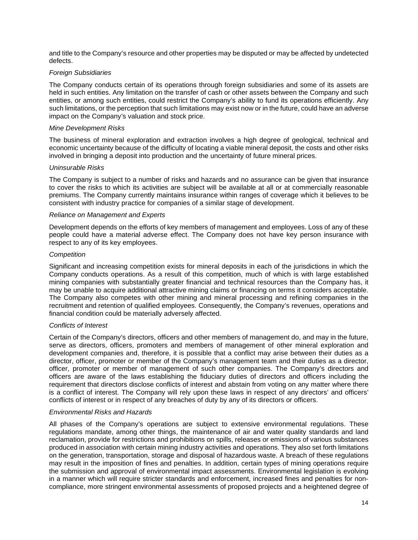and title to the Company's resource and other properties may be disputed or may be affected by undetected defects.

#### *Foreign Subsidiaries*

The Company conducts certain of its operations through foreign subsidiaries and some of its assets are held in such entities. Any limitation on the transfer of cash or other assets between the Company and such entities, or among such entities, could restrict the Company's ability to fund its operations efficiently. Any such limitations, or the perception that such limitations may exist now or in the future, could have an adverse impact on the Company's valuation and stock price.

#### *Mine Development Risks*

The business of mineral exploration and extraction involves a high degree of geological, technical and economic uncertainty because of the difficulty of locating a viable mineral deposit, the costs and other risks involved in bringing a deposit into production and the uncertainty of future mineral prices.

#### *Uninsurable Risks*

The Company is subject to a number of risks and hazards and no assurance can be given that insurance to cover the risks to which its activities are subject will be available at all or at commercially reasonable premiums. The Company currently maintains insurance within ranges of coverage which it believes to be consistent with industry practice for companies of a similar stage of development.

#### *Reliance on Management and Experts*

Development depends on the efforts of key members of management and employees. Loss of any of these people could have a material adverse effect. The Company does not have key person insurance with respect to any of its key employees.

#### *Competition*

Significant and increasing competition exists for mineral deposits in each of the jurisdictions in which the Company conducts operations. As a result of this competition, much of which is with large established mining companies with substantially greater financial and technical resources than the Company has, it may be unable to acquire additional attractive mining claims or financing on terms it considers acceptable. The Company also competes with other mining and mineral processing and refining companies in the recruitment and retention of qualified employees. Consequently, the Company's revenues, operations and financial condition could be materially adversely affected.

#### *Conflicts of Interest*

Certain of the Company's directors, officers and other members of management do, and may in the future, serve as directors, officers, promoters and members of management of other mineral exploration and development companies and, therefore, it is possible that a conflict may arise between their duties as a director, officer, promoter or member of the Company's management team and their duties as a director, officer, promoter or member of management of such other companies. The Company's directors and officers are aware of the laws establishing the fiduciary duties of directors and officers including the requirement that directors disclose conflicts of interest and abstain from voting on any matter where there is a conflict of interest. The Company will rely upon these laws in respect of any directors' and officers' conflicts of interest or in respect of any breaches of duty by any of its directors or officers.

#### *Environmental Risks and Hazards*

All phases of the Company's operations are subject to extensive environmental regulations. These regulations mandate, among other things, the maintenance of air and water quality standards and land reclamation, provide for restrictions and prohibitions on spills, releases or emissions of various substances produced in association with certain mining industry activities and operations. They also set forth limitations on the generation, transportation, storage and disposal of hazardous waste. A breach of these regulations may result in the imposition of fines and penalties. In addition, certain types of mining operations require the submission and approval of environmental impact assessments. Environmental legislation is evolving in a manner which will require stricter standards and enforcement, increased fines and penalties for noncompliance, more stringent environmental assessments of proposed projects and a heightened degree of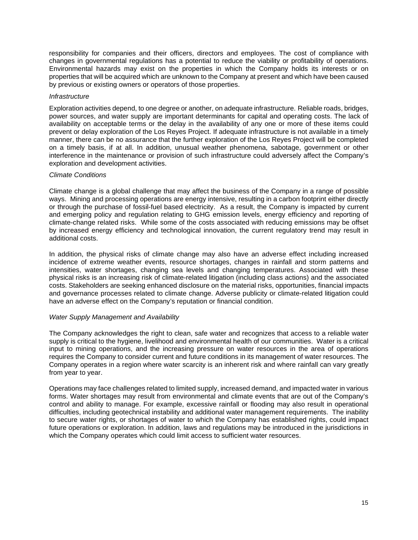responsibility for companies and their officers, directors and employees. The cost of compliance with changes in governmental regulations has a potential to reduce the viability or profitability of operations. Environmental hazards may exist on the properties in which the Company holds its interests or on properties that will be acquired which are unknown to the Company at present and which have been caused by previous or existing owners or operators of those properties.

#### *Infrastructure*

Exploration activities depend, to one degree or another, on adequate infrastructure. Reliable roads, bridges, power sources, and water supply are important determinants for capital and operating costs. The lack of availability on acceptable terms or the delay in the availability of any one or more of these items could prevent or delay exploration of the Los Reyes Project. If adequate infrastructure is not available in a timely manner, there can be no assurance that the further exploration of the Los Reyes Project will be completed on a timely basis, if at all. In addition, unusual weather phenomena, sabotage, government or other interference in the maintenance or provision of such infrastructure could adversely affect the Company's exploration and development activities.

#### *Climate Conditions*

Climate change is a global challenge that may affect the business of the Company in a range of possible ways. Mining and processing operations are energy intensive, resulting in a carbon footprint either directly or through the purchase of fossil-fuel based electricity. As a result, the Company is impacted by current and emerging policy and regulation relating to GHG emission levels, energy efficiency and reporting of climate-change related risks. While some of the costs associated with reducing emissions may be offset by increased energy efficiency and technological innovation, the current regulatory trend may result in additional costs.

In addition, the physical risks of climate change may also have an adverse effect including increased incidence of extreme weather events, resource shortages, changes in rainfall and storm patterns and intensities, water shortages, changing sea levels and changing temperatures. Associated with these physical risks is an increasing risk of climate-related litigation (including class actions) and the associated costs. Stakeholders are seeking enhanced disclosure on the material risks, opportunities, financial impacts and governance processes related to climate change. Adverse publicity or climate-related litigation could have an adverse effect on the Company's reputation or financial condition.

#### *Water Supply Management and Availability*

The Company acknowledges the right to clean, safe water and recognizes that access to a reliable water supply is critical to the hygiene, livelihood and environmental health of our communities. Water is a critical input to mining operations, and the increasing pressure on water resources in the area of operations requires the Company to consider current and future conditions in its management of water resources. The Company operates in a region where water scarcity is an inherent risk and where rainfall can vary greatly from year to year.

Operations may face challenges related to limited supply, increased demand, and impacted water in various forms. Water shortages may result from environmental and climate events that are out of the Company's control and ability to manage. For example, excessive rainfall or flooding may also result in operational difficulties, including geotechnical instability and additional water management requirements. The inability to secure water rights, or shortages of water to which the Company has established rights, could impact future operations or exploration. In addition, laws and regulations may be introduced in the jurisdictions in which the Company operates which could limit access to sufficient water resources.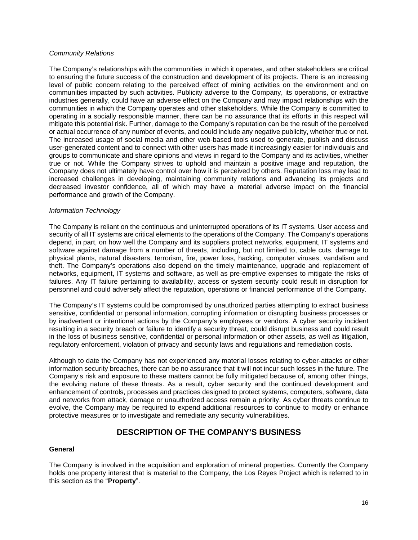#### *Community Relations*

The Company's relationships with the communities in which it operates, and other stakeholders are critical to ensuring the future success of the construction and development of its projects. There is an increasing level of public concern relating to the perceived effect of mining activities on the environment and on communities impacted by such activities. Publicity adverse to the Company, its operations, or extractive industries generally, could have an adverse effect on the Company and may impact relationships with the communities in which the Company operates and other stakeholders. While the Company is committed to operating in a socially responsible manner, there can be no assurance that its efforts in this respect will mitigate this potential risk. Further, damage to the Company's reputation can be the result of the perceived or actual occurrence of any number of events, and could include any negative publicity, whether true or not. The increased usage of social media and other web-based tools used to generate, publish and discuss user-generated content and to connect with other users has made it increasingly easier for individuals and groups to communicate and share opinions and views in regard to the Company and its activities, whether true or not. While the Company strives to uphold and maintain a positive image and reputation, the Company does not ultimately have control over how it is perceived by others. Reputation loss may lead to increased challenges in developing, maintaining community relations and advancing its projects and decreased investor confidence, all of which may have a material adverse impact on the financial performance and growth of the Company.

#### *Information Technology*

The Company is reliant on the continuous and uninterrupted operations of its IT systems. User access and security of all IT systems are critical elements to the operations of the Company. The Company's operations depend, in part, on how well the Company and its suppliers protect networks, equipment, IT systems and software against damage from a number of threats, including, but not limited to, cable cuts, damage to physical plants, natural disasters, terrorism, fire, power loss, hacking, computer viruses, vandalism and theft. The Company's operations also depend on the timely maintenance, upgrade and replacement of networks, equipment, IT systems and software, as well as pre-emptive expenses to mitigate the risks of failures. Any IT failure pertaining to availability, access or system security could result in disruption for personnel and could adversely affect the reputation, operations or financial performance of the Company.

The Company's IT systems could be compromised by unauthorized parties attempting to extract business sensitive, confidential or personal information, corrupting information or disrupting business processes or by inadvertent or intentional actions by the Company's employees or vendors. A cyber security incident resulting in a security breach or failure to identify a security threat, could disrupt business and could result in the loss of business sensitive, confidential or personal information or other assets, as well as litigation, regulatory enforcement, violation of privacy and security laws and regulations and remediation costs.

Although to date the Company has not experienced any material losses relating to cyber-attacks or other information security breaches, there can be no assurance that it will not incur such losses in the future. The Company's risk and exposure to these matters cannot be fully mitigated because of, among other things, the evolving nature of these threats. As a result, cyber security and the continued development and enhancement of controls, processes and practices designed to protect systems, computers, software, data and networks from attack, damage or unauthorized access remain a priority. As cyber threats continue to evolve, the Company may be required to expend additional resources to continue to modify or enhance protective measures or to investigate and remediate any security vulnerabilities.

# **DESCRIPTION OF THE COMPANY'S BUSINESS**

#### **General**

The Company is involved in the acquisition and exploration of mineral properties. Currently the Company holds one property interest that is material to the Company, the Los Reyes Project which is referred to in this section as the "**Property**".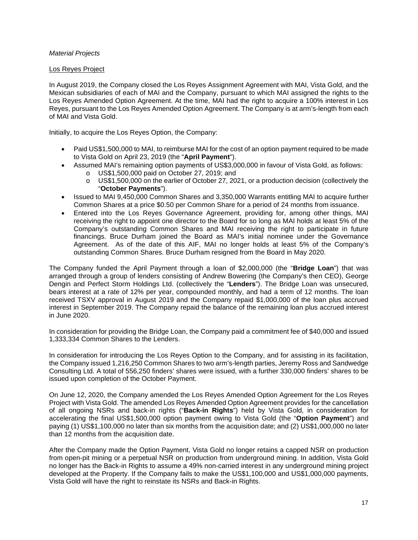#### *Material Projects*

#### Los Reyes Project

In August 2019, the Company closed the Los Reyes Assignment Agreement with MAI, Vista Gold, and the Mexican subsidiaries of each of MAI and the Company, pursuant to which MAI assigned the rights to the Los Reves Amended Option Agreement. At the time, MAI had the right to acquire a 100% interest in Los Reyes, pursuant to the Los Reyes Amended Option Agreement. The Company is at arm's-length from each of MAI and Vista Gold.

Initially, to acquire the Los Reyes Option, the Company:

- Paid US\$1,500,000 to MAI, to reimburse MAI for the cost of an option payment required to be made to Vista Gold on April 23, 2019 (the "**April Payment**").
- Assumed MAI's remaining option payments of US\$3,000,000 in favour of Vista Gold, as follows:
	- o US\$1,500,000 paid on October 27, 2019; and
	- o US\$1,500,000 on the earlier of October 27, 2021, or a production decision (collectively the "**October Payments**").
- Issued to MAI 9,450,000 Common Shares and 3,350,000 Warrants entitling MAI to acquire further Common Shares at a price \$0.50 per Common Share for a period of 24 months from issuance.
- Entered into the Los Reyes Governance Agreement, providing for, among other things, MAI receiving the right to appoint one director to the Board for so long as MAI holds at least 5% of the Company's outstanding Common Shares and MAI receiving the right to participate in future financings. Bruce Durham joined the Board as MAI's initial nominee under the Governance Agreement. As of the date of this AIF, MAI no longer holds at least 5% of the Company's outstanding Common Shares. Bruce Durham resigned from the Board in May 2020.

The Company funded the April Payment through a loan of \$2,000,000 (the "**Bridge Loan**") that was arranged through a group of lenders consisting of Andrew Bowering (the Company's then CEO), George Dengin and Perfect Storm Holdings Ltd. (collectively the "**Lenders**"). The Bridge Loan was unsecured, bears interest at a rate of 12% per year, compounded monthly, and had a term of 12 months. The loan received TSXV approval in August 2019 and the Company repaid \$1,000,000 of the loan plus accrued interest in September 2019. The Company repaid the balance of the remaining loan plus accrued interest in June 2020.

In consideration for providing the Bridge Loan, the Company paid a commitment fee of \$40,000 and issued 1,333,334 Common Shares to the Lenders.

In consideration for introducing the Los Reyes Option to the Company, and for assisting in its facilitation, the Company issued 1,216,250 Common Shares to two arm's-length parties, Jeremy Ross and Sandwedge Consulting Ltd. A total of 556,250 finders' shares were issued, with a further 330,000 finders' shares to be issued upon completion of the October Payment.

On June 12, 2020, the Company amended the Los Reyes Amended Option Agreement for the Los Reyes Project with Vista Gold. The amended Los Reyes Amended Option Agreement provides for the cancellation of all ongoing NSRs and back-in rights ("**Back-in Rights**") held by Vista Gold, in consideration for accelerating the final US\$1,500,000 option payment owing to Vista Gold (the "**Option Payment**") and paying (1) US\$1,100,000 no later than six months from the acquisition date; and (2) US\$1,000,000 no later than 12 months from the acquisition date.

After the Company made the Option Payment, Vista Gold no longer retains a capped NSR on production from open-pit mining or a perpetual NSR on production from underground mining. In addition, Vista Gold no longer has the Back-in Rights to assume a 49% non-carried interest in any underground mining project developed at the Property. If the Company fails to make the US\$1,100,000 and US\$1,000,000 payments, Vista Gold will have the right to reinstate its NSRs and Back-in Rights.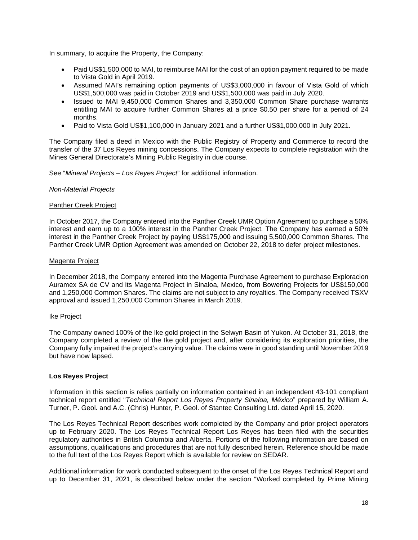In summary, to acquire the Property, the Company:

- Paid US\$1,500,000 to MAI, to reimburse MAI for the cost of an option payment required to be made to Vista Gold in April 2019.
- Assumed MAI's remaining option payments of US\$3,000,000 in favour of Vista Gold of which US\$1,500,000 was paid in October 2019 and US\$1,500,000 was paid in July 2020.
- Issued to MAI 9,450,000 Common Shares and 3,350,000 Common Share purchase warrants entitling MAI to acquire further Common Shares at a price \$0.50 per share for a period of 24 months.
- Paid to Vista Gold US\$1,100,000 in January 2021 and a further US\$1,000,000 in July 2021.

The Company filed a deed in Mexico with the Public Registry of Property and Commerce to record the transfer of the 37 Los Reyes mining concessions. The Company expects to complete registration with the Mines General Directorate's Mining Public Registry in due course.

See "*Mineral Projects – Los Reyes Project*" for additional information.

#### *Non-Material Projects*

#### Panther Creek Project

In October 2017, the Company entered into the Panther Creek UMR Option Agreement to purchase a 50% interest and earn up to a 100% interest in the Panther Creek Project. The Company has earned a 50% interest in the Panther Creek Project by paying US\$175,000 and issuing 5,500,000 Common Shares. The Panther Creek UMR Option Agreement was amended on October 22, 2018 to defer project milestones.

#### Magenta Project

In December 2018, the Company entered into the Magenta Purchase Agreement to purchase Exploracion Auramex SA de CV and its Magenta Project in Sinaloa, Mexico, from Bowering Projects for US\$150,000 and 1,250,000 Common Shares. The claims are not subject to any royalties. The Company received TSXV approval and issued 1,250,000 Common Shares in March 2019.

#### Ike Project

The Company owned 100% of the Ike gold project in the Selwyn Basin of Yukon. At October 31, 2018, the Company completed a review of the Ike gold project and, after considering its exploration priorities, the Company fully impaired the project's carrying value. The claims were in good standing until November 2019 but have now lapsed.

#### **Los Reyes Project**

Information in this section is relies partially on information contained in an independent 43-101 compliant technical report entitled "*Technical Report Los Reyes Property Sinaloa, México*" prepared by William A. Turner, P. Geol. and A.C. (Chris) Hunter, P. Geol. of Stantec Consulting Ltd. dated April 15, 2020.

The Los Reyes Technical Report describes work completed by the Company and prior project operators up to February 2020. The Los Reyes Technical Report Los Reyes has been filed with the securities regulatory authorities in British Columbia and Alberta. Portions of the following information are based on assumptions, qualifications and procedures that are not fully described herein. Reference should be made to the full text of the Los Reyes Report which is available for review on SEDAR.

Additional information for work conducted subsequent to the onset of the Los Reyes Technical Report and up to December 31, 2021, is described below under the section "Worked completed by Prime Mining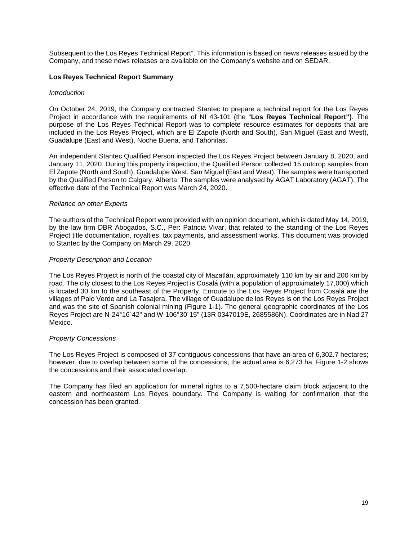Subsequent to the Los Reyes Technical Report". This information is based on news releases issued by the Company, and these news releases are available on the Company's website and on SEDAR.

#### **Los Reyes Technical Report Summary**

#### *Introduction*

On October 24, 2019, the Company contracted Stantec to prepare a technical report for the Los Reyes Project in accordance with the requirements of NI 43-101 (the "**Los Reyes Technical Report")**. The purpose of the Los Reyes Technical Report was to complete resource estimates for deposits that are included in the Los Reyes Project, which are El Zapote (North and South), San Miguel (East and West), Guadalupe (East and West), Noche Buena, and Tahonitas.

An independent Stantec Qualified Person inspected the Los Reyes Project between January 8, 2020, and January 11, 2020. During this property inspection, the Qualified Person collected 15 outcrop samples from El Zapote (North and South), Guadalupe West, San Miguel (East and West). The samples were transported by the Qualified Person to Calgary, Alberta. The samples were analysed by AGAT Laboratory (AGAT). The effective date of the Technical Report was March 24, 2020.

#### *Reliance on other Experts*

The authors of the Technical Report were provided with an opinion document, which is dated May 14, 2019, by the law firm DBR Abogados, S.C., Per: Patricia Vivar, that related to the standing of the Los Reyes Project title documentation, royalties, tax payments, and assessment works. This document was provided to Stantec by the Company on March 29, 2020.

#### *Property Description and Location*

The Los Reyes Project is north of the coastal city of Mazatlán, approximately 110 km by air and 200 km by road. The city closest to the Los Reyes Project is Cosalá (with a population of approximately 17,000) which is located 30 km to the southeast of the Property. Enroute to the Los Reyes Project from Cosalá are the villages of Palo Verde and La Tasajera. The village of Guadalupe de los Reyes is on the Los Reyes Project and was the site of Spanish colonial mining (Figure 1-1). The general geographic coordinates of the Los Reyes Project are N-24°16´42" and W-106°30´15" (13R 0347019E, 2685586N). Coordinates are in Nad 27 Mexico.

#### *Property Concessions*

The Los Reyes Project is composed of 37 contiguous concessions that have an area of 6,302.7 hectares; however, due to overlap between some of the concessions, the actual area is 6,273 ha. Figure 1-2 shows the concessions and their associated overlap.

The Company has filed an application for mineral rights to a 7,500-hectare claim block adjacent to the eastern and northeastern Los Reyes boundary. The Company is waiting for confirmation that the concession has been granted.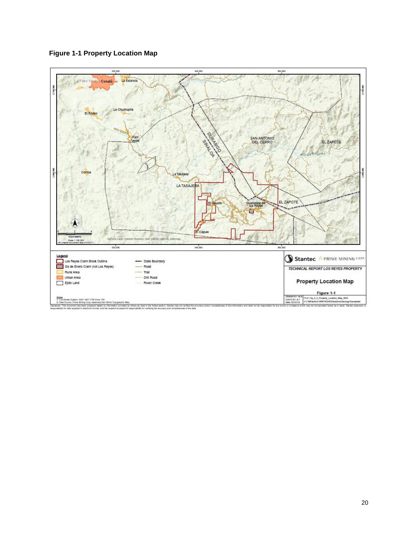

**Figure 1-1 Property Location Map**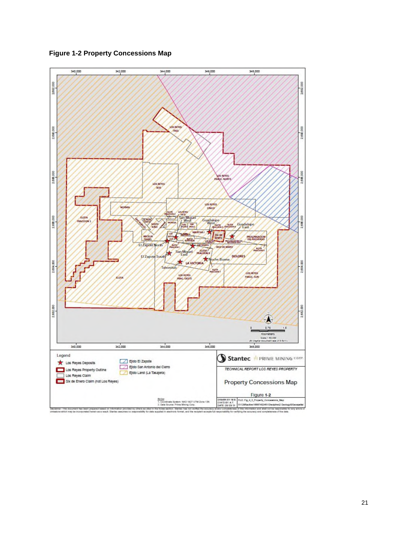



imer: The document has been prepared based on<br>sitrus which may be incorporated herein as a result.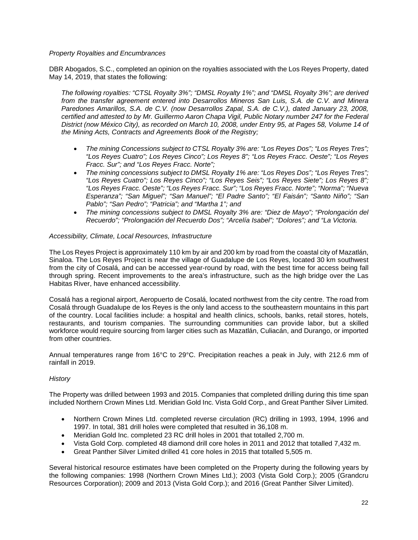#### *Property Royalties and Encumbrances*

DBR Abogados, S.C., completed an opinion on the royalties associated with the Los Reyes Property, dated May 14, 2019, that states the following:

*The following royalties: "CTSL Royalty 3%"; "DMSL Royalty 1%"; and "DMSL Royalty 3%"; are derived from the transfer agreement entered into Desarrollos Mineros San Luis, S.A. de C.V. and Minera Paredones Amarillos, S.A. de C.V. (now Desarrollos Zapal, S.A. de C.V.), dated January 23, 2008, certified and attested to by Mr. Guillermo Aaron Chapa Vigil, Public Notary number 247 for the Federal District (now México City), as recorded on March 10, 2008, under Entry 95, at Pages 58, Volume 14 of the Mining Acts, Contracts and Agreements Book of the Registry;* 

- *The mining Concessions subject to CTSL Royalty 3% are: "Los Reyes Dos"; "Los Reyes Tres"; "Los Reyes Cuatro"; Los Reyes Cinco"; Los Reyes 8"; "Los Reyes Fracc. Oeste"; "Los Reyes Fracc. Sur"; and "Los Reyes Fracc. Norte";*
- *The mining concessions subject to DMSL Royalty 1% are: "Los Reyes Dos"; "Los Reyes Tres"; "Los Reyes Cuatro"; Los Reyes Cinco"; "Los Reyes Seis"; "Los Reyes Siete"; Los Reyes 8"; "Los Reyes Fracc. Oeste"; "Los Reyes Fracc. Sur"; "Los Reyes Fracc. Norte"; "Norma"; "Nueva Esperanza"; "San Miguel"; "San Manuel"; "El Padre Santo"; "El Faisán"; "Santo Niño"; "San Pablo"; "San Pedro"; "Patricia"; and "Martha 1"; and*
- *The mining concessions subject to DMSL Royalty 3% are: "Diez de Mayo"; "Prolongación del Recuerdo"; "Prolongación del Recuerdo Dos"; "Arcelía Isabel"; "Dolores"; and "La Victoria.*

#### *Accessibility, Climate, Local Resources, Infrastructure*

The Los Reyes Project is approximately 110 km by air and 200 km by road from the coastal city of Mazatlán, Sinaloa. The Los Reyes Project is near the village of Guadalupe de Los Reyes, located 30 km southwest from the city of Cosalá, and can be accessed year-round by road, with the best time for access being fall through spring. Recent improvements to the area's infrastructure, such as the high bridge over the Las Habitas River, have enhanced accessibility.

Cosalá has a regional airport, Aeropuerto de Cosalá, located northwest from the city centre. The road from Cosalá through Guadalupe de los Reyes is the only land access to the southeastern mountains in this part of the country. Local facilities include: a hospital and health clinics, schools, banks, retail stores, hotels, restaurants, and tourism companies. The surrounding communities can provide labor, but a skilled workforce would require sourcing from larger cities such as Mazatlán, Culiacán, and Durango, or imported from other countries.

Annual temperatures range from 16°C to 29°C. Precipitation reaches a peak in July, with 212.6 mm of rainfall in 2019.

#### *History*

The Property was drilled between 1993 and 2015. Companies that completed drilling during this time span included Northern Crown Mines Ltd. Meridian Gold Inc. Vista Gold Corp., and Great Panther Silver Limited.

- Northern Crown Mines Ltd. completed reverse circulation (RC) drilling in 1993, 1994, 1996 and 1997. In total, 381 drill holes were completed that resulted in 36,108 m.
- Meridian Gold Inc. completed 23 RC drill holes in 2001 that totalled 2,700 m.
- Vista Gold Corp. completed 48 diamond drill core holes in 2011 and 2012 that totalled 7,432 m.
- Great Panther Silver Limited drilled 41 core holes in 2015 that totalled 5,505 m.

Several historical resource estimates have been completed on the Property during the following years by the following companies: 1998 (Northern Crown Mines Ltd.); 2003 (Vista Gold Corp.); 2005 (Grandcru Resources Corporation); 2009 and 2013 (Vista Gold Corp.); and 2016 (Great Panther Silver Limited).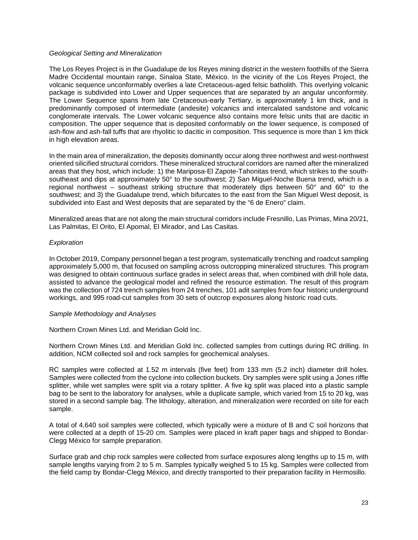#### *Geological Setting and Mineralization*

The Los Reyes Project is in the Guadalupe de los Reyes mining district in the western foothills of the Sierra Madre Occidental mountain range, Sinaloa State, México. In the vicinity of the Los Reyes Project, the volcanic sequence unconformably overlies a late Cretaceous-aged felsic batholith. This overlying volcanic package is subdivided into Lower and Upper sequences that are separated by an angular unconformity. The Lower Sequence spans from late Cretaceous-early Tertiary, is approximately 1 km thick, and is predominantly composed of intermediate (andesite) volcanics and intercalated sandstone and volcanic conglomerate intervals. The Lower volcanic sequence also contains more felsic units that are dacitic in composition. The upper sequence that is deposited conformably on the lower sequence, is composed of ash-flow and ash-fall tuffs that are rhyolitic to dacitic in composition. This sequence is more than 1 km thick in high elevation areas.

In the main area of mineralization, the deposits dominantly occur along three northwest and west-northwest oriented silicified structural corridors. These mineralized structural corridors are named after the mineralized areas that they host, which include: 1) the Mariposa-El Zapote-Tahonitas trend, which strikes to the southsoutheast and dips at approximately 50° to the southwest; 2) San Miguel-Noche Buena trend, which is a regional northwest – southeast striking structure that moderately dips between  $50^{\circ}$  and  $60^{\circ}$  to the southwest; and 3) the Guadalupe trend, which bifurcates to the east from the San Miguel West deposit, is subdivided into East and West deposits that are separated by the "6 de Enero" claim.

Mineralized areas that are not along the main structural corridors include Fresnillo, Las Primas, Mina 20/21, Las Palmitas, El Orito, El Apomal, El Mirador, and Las Casitas.

#### *Exploration*

In October 2019, Company personnel began a test program, systematically trenching and roadcut sampling approximately 5,000 m, that focused on sampling across outcropping mineralized structures. This program was designed to obtain continuous surface grades in select areas that, when combined with drill hole data, assisted to advance the geological model and refined the resource estimation. The result of this program was the collection of 724 trench samples from 24 trenches, 101 adit samples from four historic underground workings, and 995 road-cut samples from 30 sets of outcrop exposures along historic road cuts.

#### *Sample Methodology and Analyses*

Northern Crown Mines Ltd. and Meridian Gold Inc.

Northern Crown Mines Ltd. and Meridian Gold Inc. collected samples from cuttings during RC drilling. In addition, NCM collected soil and rock samples for geochemical analyses.

RC samples were collected at 1.52 m intervals (five feet) from 133 mm (5.2 inch) diameter drill holes. Samples were collected from the cyclone into collection buckets. Dry samples were split using a Jones riffle splitter, while wet samples were split via a rotary splitter. A five kg split was placed into a plastic sample bag to be sent to the laboratory for analyses, while a duplicate sample, which varied from 15 to 20 kg, was stored in a second sample bag. The lithology, alteration, and mineralization were recorded on site for each sample.

A total of 4,640 soil samples were collected, which typically were a mixture of B and C soil horizons that were collected at a depth of 15-20 cm. Samples were placed in kraft paper bags and shipped to Bondar-Clegg México for sample preparation.

Surface grab and chip rock samples were collected from surface exposures along lengths up to 15 m, with sample lengths varying from 2 to 5 m. Samples typically weighed 5 to 15 kg. Samples were collected from the field camp by Bondar-Clegg México, and directly transported to their preparation facility in Hermosillo.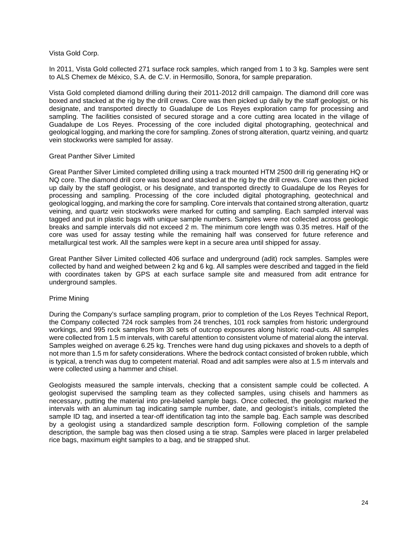#### Vista Gold Corp.

In 2011, Vista Gold collected 271 surface rock samples, which ranged from 1 to 3 kg. Samples were sent to ALS Chemex de México, S.A. de C.V. in Hermosillo, Sonora, for sample preparation.

Vista Gold completed diamond drilling during their 2011-2012 drill campaign. The diamond drill core was boxed and stacked at the rig by the drill crews. Core was then picked up daily by the staff geologist, or his designate, and transported directly to Guadalupe de Los Reyes exploration camp for processing and sampling. The facilities consisted of secured storage and a core cutting area located in the village of Guadalupe de Los Reyes. Processing of the core included digital photographing, geotechnical and geological logging, and marking the core for sampling. Zones of strong alteration, quartz veining, and quartz vein stockworks were sampled for assay.

#### Great Panther Silver Limited

Great Panther Silver Limited completed drilling using a track mounted HTM 2500 drill rig generating HQ or NQ core. The diamond drill core was boxed and stacked at the rig by the drill crews. Core was then picked up daily by the staff geologist, or his designate, and transported directly to Guadalupe de los Reyes for processing and sampling. Processing of the core included digital photographing, geotechnical and geological logging, and marking the core for sampling. Core intervals that contained strong alteration, quartz veining, and quartz vein stockworks were marked for cutting and sampling. Each sampled interval was tagged and put in plastic bags with unique sample numbers. Samples were not collected across geologic breaks and sample intervals did not exceed 2 m. The minimum core length was 0.35 metres. Half of the core was used for assay testing while the remaining half was conserved for future reference and metallurgical test work. All the samples were kept in a secure area until shipped for assay.

Great Panther Silver Limited collected 406 surface and underground (adit) rock samples. Samples were collected by hand and weighed between 2 kg and 6 kg. All samples were described and tagged in the field with coordinates taken by GPS at each surface sample site and measured from adit entrance for underground samples.

#### Prime Mining

During the Company's surface sampling program, prior to completion of the Los Reyes Technical Report, the Company collected 724 rock samples from 24 trenches, 101 rock samples from historic underground workings, and 995 rock samples from 30 sets of outcrop exposures along historic road-cuts. All samples were collected from 1.5 m intervals, with careful attention to consistent volume of material along the interval. Samples weighed on average 6.25 kg. Trenches were hand dug using pickaxes and shovels to a depth of not more than 1.5 m for safety considerations. Where the bedrock contact consisted of broken rubble, which is typical, a trench was dug to competent material. Road and adit samples were also at 1.5 m intervals and were collected using a hammer and chisel.

Geologists measured the sample intervals, checking that a consistent sample could be collected. A geologist supervised the sampling team as they collected samples, using chisels and hammers as necessary, putting the material into pre-labeled sample bags. Once collected, the geologist marked the intervals with an aluminum tag indicating sample number, date, and geologist's initials, completed the sample ID tag, and inserted a tear-off identification tag into the sample bag. Each sample was described by a geologist using a standardized sample description form. Following completion of the sample description, the sample bag was then closed using a tie strap. Samples were placed in larger prelabeled rice bags, maximum eight samples to a bag, and tie strapped shut.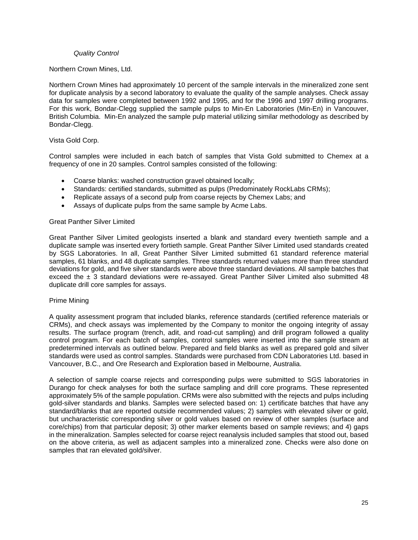#### *Quality Control*

#### Northern Crown Mines, Ltd.

Northern Crown Mines had approximately 10 percent of the sample intervals in the mineralized zone sent for duplicate analysis by a second laboratory to evaluate the quality of the sample analyses. Check assay data for samples were completed between 1992 and 1995, and for the 1996 and 1997 drilling programs. For this work, Bondar-Clegg supplied the sample pulps to Min-En Laboratories (Min-En) in Vancouver, British Columbia. Min-En analyzed the sample pulp material utilizing similar methodology as described by Bondar-Clegg.

#### Vista Gold Corp.

Control samples were included in each batch of samples that Vista Gold submitted to Chemex at a frequency of one in 20 samples. Control samples consisted of the following:

- Coarse blanks: washed construction gravel obtained locally;
- Standards: certified standards, submitted as pulps (Predominately RockLabs CRMs);
- Replicate assays of a second pulp from coarse rejects by Chemex Labs; and
- Assays of duplicate pulps from the same sample by Acme Labs.

#### Great Panther Silver Limited

Great Panther Silver Limited geologists inserted a blank and standard every twentieth sample and a duplicate sample was inserted every fortieth sample. Great Panther Silver Limited used standards created by SGS Laboratories. In all, Great Panther Silver Limited submitted 61 standard reference material samples, 61 blanks, and 48 duplicate samples. Three standards returned values more than three standard deviations for gold, and five silver standards were above three standard deviations. All sample batches that exceed the  $\pm$  3 standard deviations were re-assayed. Great Panther Silver Limited also submitted 48 duplicate drill core samples for assays.

#### Prime Mining

A quality assessment program that included blanks, reference standards (certified reference materials or CRMs), and check assays was implemented by the Company to monitor the ongoing integrity of assay results. The surface program (trench, adit, and road-cut sampling) and drill program followed a quality control program. For each batch of samples, control samples were inserted into the sample stream at predetermined intervals as outlined below. Prepared and field blanks as well as prepared gold and silver standards were used as control samples. Standards were purchased from CDN Laboratories Ltd. based in Vancouver, B.C., and Ore Research and Exploration based in Melbourne, Australia.

A selection of sample coarse rejects and corresponding pulps were submitted to SGS laboratories in Durango for check analyses for both the surface sampling and drill core programs. These represented approximately 5% of the sample population. CRMs were also submitted with the rejects and pulps including gold-silver standards and blanks. Samples were selected based on: 1) certificate batches that have any standard/blanks that are reported outside recommended values; 2) samples with elevated silver or gold, but uncharacteristic corresponding silver or gold values based on review of other samples (surface and core/chips) from that particular deposit; 3) other marker elements based on sample reviews; and 4) gaps in the mineralization. Samples selected for coarse reject reanalysis included samples that stood out, based on the above criteria, as well as adjacent samples into a mineralized zone. Checks were also done on samples that ran elevated gold/silver.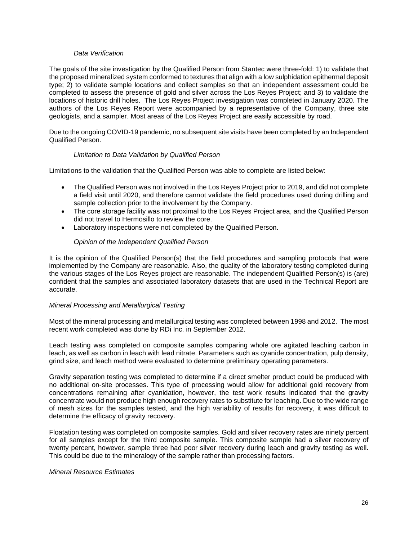#### *Data Verification*

The goals of the site investigation by the Qualified Person from Stantec were three-fold: 1) to validate that the proposed mineralized system conformed to textures that align with a low sulphidation epithermal deposit type; 2) to validate sample locations and collect samples so that an independent assessment could be completed to assess the presence of gold and silver across the Los Reyes Project; and 3) to validate the locations of historic drill holes. The Los Reyes Project investigation was completed in January 2020. The authors of the Los Reyes Report were accompanied by a representative of the Company, three site geologists, and a sampler. Most areas of the Los Reyes Project are easily accessible by road.

Due to the ongoing COVID-19 pandemic, no subsequent site visits have been completed by an Independent Qualified Person.

#### *Limitation to Data Validation by Qualified Person*

Limitations to the validation that the Qualified Person was able to complete are listed below:

- The Qualified Person was not involved in the Los Reyes Project prior to 2019, and did not complete a field visit until 2020, and therefore cannot validate the field procedures used during drilling and sample collection prior to the involvement by the Company.
- The core storage facility was not proximal to the Los Reyes Project area, and the Qualified Person did not travel to Hermosillo to review the core.
- Laboratory inspections were not completed by the Qualified Person.

#### *Opinion of the Independent Qualified Person*

It is the opinion of the Qualified Person(s) that the field procedures and sampling protocols that were implemented by the Company are reasonable. Also, the quality of the laboratory testing completed during the various stages of the Los Reyes project are reasonable. The independent Qualified Person(s) is (are) confident that the samples and associated laboratory datasets that are used in the Technical Report are accurate.

#### *Mineral Processing and Metallurgical Testing*

Most of the mineral processing and metallurgical testing was completed between 1998 and 2012. The most recent work completed was done by RDi Inc. in September 2012.

Leach testing was completed on composite samples comparing whole ore agitated leaching carbon in leach, as well as carbon in leach with lead nitrate. Parameters such as cyanide concentration, pulp density, grind size, and leach method were evaluated to determine preliminary operating parameters.

Gravity separation testing was completed to determine if a direct smelter product could be produced with no additional on-site processes. This type of processing would allow for additional gold recovery from concentrations remaining after cyanidation, however, the test work results indicated that the gravity concentrate would not produce high enough recovery rates to substitute for leaching. Due to the wide range of mesh sizes for the samples tested, and the high variability of results for recovery, it was difficult to determine the efficacy of gravity recovery.

Floatation testing was completed on composite samples. Gold and silver recovery rates are ninety percent for all samples except for the third composite sample. This composite sample had a silver recovery of twenty percent, however, sample three had poor silver recovery during leach and gravity testing as well. This could be due to the mineralogy of the sample rather than processing factors.

#### *Mineral Resource Estimates*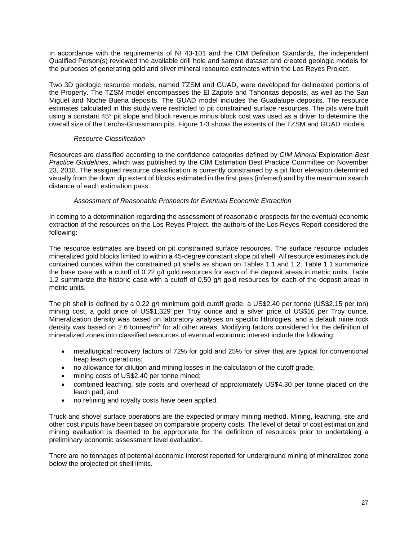In accordance with the requirements of NI 43-101 and the CIM Definition Standards, the independent Qualified Person(s) reviewed the available drill hole and sample dataset and created geologic models for the purposes of generating gold and silver mineral resource estimates within the Los Reyes Project.

Two 3D geologic resource models, named TZSM and GUAD, were developed for delineated portions of the Property. The TZSM model encompasses the El Zapote and Tahonitas deposits, as well as the San Miguel and Noche Buena deposits. The GUAD model includes the Guadalupe deposits. The resource estimates calculated in this study were restricted to pit constrained surface resources. The pits were built using a constant 45° pit slope and block revenue minus block cost was used as a driver to determine the overall size of the Lerchs-Grossmann pits. Figure 1-3 shows the extents of the TZSM and GUAD models.

#### *Resource Classification*

Resources are classified according to the confidence categories defined by *CIM Mineral* Exploration *Best Practice Guidelines*, which was published by the CIM Estimation Best Practice Committee on November 23, 2018. The assigned resource classification is currently constrained by a pit floor elevation determined visually from the down dip extent of blocks estimated in the first pass (inferred) and by the maximum search distance of each estimation pass.

#### *Assessment of Reasonable Prospects for Eventual Economic Extraction*

In coming to a determination regarding the assessment of reasonable prospects for the eventual economic extraction of the resources on the Los Reyes Project, the authors of the Los Reyes Report considered the following:

The resource estimates are based on pit constrained surface resources. The surface resource includes mineralized gold blocks limited to within a 45-degree constant slope pit shell. All resource estimates include contained ounces within the constrained pit shells as shown on Tables 1.1 and 1.2. Table 1.1 summarize the base case with a cutoff of 0.22 g/t gold resources for each of the deposit areas in metric units. Table 1.2 summarize the historic case with a cutoff of 0.50 g/t gold resources for each of the deposit areas in metric units.

The pit shell is defined by a 0.22 g/t minimum gold cutoff grade, a US\$2.40 per tonne (US\$2.15 per ton) mining cost, a gold price of US\$1,329 per Troy ounce and a silver price of US\$16 per Troy ounce. Mineralization density was based on laboratory analyses on specific lithologies, and a default mine rock density was based on 2.6 tonnes/m<sup>3</sup> for all other areas. Modifying factors considered for the definition of mineralized zones into classified resources of eventual economic interest include the following:

- metallurgical recovery factors of 72% for gold and 25% for silver that are typical for conventional heap leach operations;
- no allowance for dilution and mining losses in the calculation of the cutoff grade;
- mining costs of US\$2.40 per tonne mined;
- combined leaching, site costs and overhead of approximately US\$4.30 per tonne placed on the leach pad; and
- no refining and royalty costs have been applied.

Truck and shovel surface operations are the expected primary mining method. Mining, leaching, site and other cost inputs have been based on comparable property costs. The level of detail of cost estimation and mining evaluation is deemed to be appropriate for the definition of resources prior to undertaking a preliminary economic assessment level evaluation.

There are no tonnages of potential economic interest reported for underground mining of mineralized zone below the projected pit shell limits.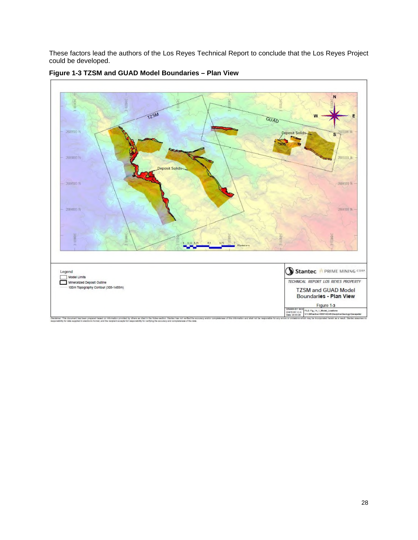These factors lead the authors of the Los Reyes Technical Report to conclude that the Los Reyes Project could be developed.



**Figure 1-3 TZSM and GUAD Model Boundaries – Plan View**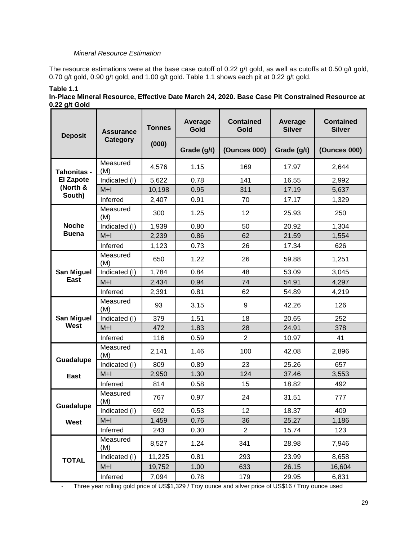#### *Mineral Resource Estimation*

The resource estimations were at the base case cutoff of 0.22 g/t gold, as well as cutoffs at 0.50 g/t gold, 0.70 g/t gold, 0.90 g/t gold, and 1.00 g/t gold. Table 1.1 shows each pit at 0.22 g/t gold.

| <u>ອ່າ</u><br><b>Deposit</b> | <b>Assurance</b> | <b>Tonnes</b> | <b>Average</b><br>Gold | <b>Contained</b><br>Gold | Average<br><b>Silver</b> | <b>Contained</b><br><b>Silver</b> |
|------------------------------|------------------|---------------|------------------------|--------------------------|--------------------------|-----------------------------------|
|                              | Category         | (000)         | Grade (g/t)            | <b>(Ounces 000)</b>      | Grade (g/t)              | <b>(Ounces 000)</b>               |
| <b>Tahonitas -</b>           | Measured<br>(M)  | 4,576         | 1.15                   | 169                      | 17.97                    | 2,644                             |
| <b>El Zapote</b>             | Indicated (I)    | 5,622         | 0.78                   | 141                      | 16.55                    | 2,992                             |
| (North &                     | $M+1$            | 10,198        | 0.95                   | 311                      | 17.19                    | 5,637                             |
| South)                       | Inferred         | 2,407         | 0.91                   | 70                       | 17.17                    | 1,329                             |
|                              | Measured<br>(M)  | 300           | 1.25                   | 12                       | 25.93                    | 250                               |
| <b>Noche</b>                 | Indicated (I)    | 1,939         | 0.80                   | 50                       | 20.92                    | 1,304                             |
| <b>Buena</b>                 | $M+1$            | 2,239         | 0.86                   | 62                       | 21.59                    | 1,554                             |
|                              | Inferred         | 1,123         | 0.73                   | 26                       | 17.34                    | 626                               |
|                              | Measured<br>(M)  | 650           | 1.22                   | 26                       | 59.88                    | 1,251                             |
| <b>San Miguel</b>            | Indicated (I)    | 1,784         | 0.84                   | 48                       | 53.09                    | 3,045                             |
| East                         | $M+1$            | 2,434         | 0.94                   | 74                       | 54.91                    | 4,297                             |
|                              | Inferred         | 2,391         | 0.81                   | 62                       | 54.89                    | 4,219                             |
|                              | Measured<br>(M)  | 93            | 3.15                   | 9                        | 42.26                    | 126                               |
| <b>San Miguel</b>            | Indicated (I)    | 379           | 1.51                   | 18                       | 20.65                    | 252                               |
| West                         | $M+1$            | 472           | 1.83                   | 28                       | 24.91                    | 378                               |
|                              | Inferred         | 116           | 0.59                   | $\overline{2}$           | 10.97                    | 41                                |
|                              | Measured<br>(M)  | 2,141         | 1.46                   | 100                      | 42.08                    | 2,896                             |
| Guadalupe                    | Indicated (I)    | 809           | 0.89                   | 23                       | 25.26                    | 657                               |
| <b>East</b>                  | $M+1$            | 2,950         | 1.30                   | 124                      | 37.46                    | 3,553                             |
|                              | Inferred         | 814           | 0.58                   | 15                       | 18.82                    | 492                               |
|                              | Measured<br>(M)  | 767           | 0.97                   | 24                       | 31.51                    | 777                               |
| Guadalupe                    | Indicated (I)    | 692           | 0.53                   | 12                       | 18.37                    | 409                               |
| West                         | $M+1$            | 1,459         | 0.76                   | 36                       | 25.27                    | 1,186                             |
|                              | Inferred         | 243           | 0.30                   | $\overline{c}$           | 15.74                    | 123                               |
|                              | Measured<br>(M)  | 8,527         | 1.24                   | 341                      | 28.98                    | 7,946                             |
| <b>TOTAL</b>                 | Indicated (I)    | 11,225        | 0.81                   | 293                      | 23.99                    | 8,658                             |
|                              | $M+1$            | 19,752        | 1.00                   | 633                      | 26.15                    | 16,604                            |
|                              | Inferred         | 7,094         | 0.78                   | 179                      | 29.95                    | 6,831                             |

#### **Table 1.1 In-Place Mineral Resource, Effective Date March 24, 2020. Base Case Pit Constrained Resource at 0.22 g/t Gold**

- Three year rolling gold price of US\$1,329 / Troy ounce and silver price of US\$16 / Troy ounce used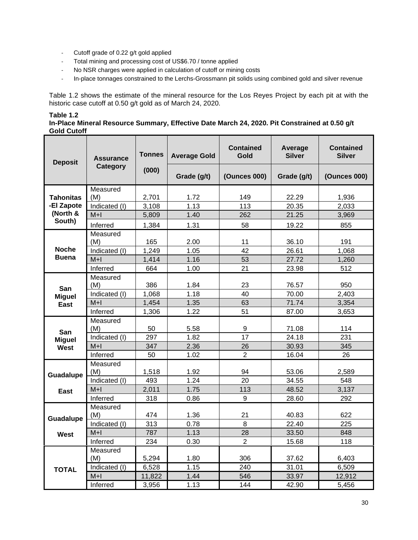- Cutoff grade of 0.22 g/t gold applied
- Total mining and processing cost of US\$6.70 / tonne applied
- No NSR charges were applied in calculation of cutoff or mining costs
- In-place tonnages constrained to the Lerchs-Grossmann pit solids using combined gold and silver revenue

Table 1.2 shows the estimate of the mineral resource for the Los Reyes Project by each pit at with the historic case cutoff at 0.50 g/t gold as of March 24, 2020.

| abl<br>le |  |  |
|-----------|--|--|
|-----------|--|--|

**In-Place Mineral Resource Summary, Effective Date March 24, 2020. Pit Constrained at 0.50 g/t Gold Cutoff** 

| <b>Deposit</b>         | <b>Assurance</b><br>Category | <b>Tonnes</b><br>(000) | <b>Average Gold</b> | <b>Contained</b><br>Gold | Average<br><b>Silver</b> | <b>Contained</b><br><b>Silver</b> |
|------------------------|------------------------------|------------------------|---------------------|--------------------------|--------------------------|-----------------------------------|
|                        |                              |                        | Grade (g/t)         | <b>(Ounces 000)</b>      | Grade (g/t)              | <b>(Ounces 000)</b>               |
|                        | Measured                     |                        |                     |                          |                          |                                   |
| <b>Tahonitas</b>       | (M)                          | 2,701                  | 1.72<br>1.13        | 149<br>113               | 22.29                    | 1,936                             |
| -El Zapote<br>(North & | Indicated (I)                | 3,108                  |                     |                          | 20.35                    | 2,033                             |
| South)                 | $M+1$                        | 5,809                  | 1.40                | 262                      | 21.25                    | 3,969                             |
|                        | Inferred                     | 1,384                  | 1.31                | 58                       | 19.22                    | 855                               |
|                        | Measured<br>(M)              | 165                    | 2.00                | 11                       | 36.10                    | 191                               |
| <b>Noche</b>           | Indicated (I)                | 1,249                  | 1.05                | 42                       | 26.61                    | 1,068                             |
| <b>Buena</b>           | $M+1$                        | 1,414                  | 1.16                | 53                       | 27.72                    | 1,260                             |
|                        | Inferred                     | 664                    | 1.00                | 21                       | 23.98                    | 512                               |
|                        | Measured                     |                        |                     |                          |                          |                                   |
|                        | (M)                          | 386                    | 1.84                | 23                       | 76.57                    | 950                               |
| San<br><b>Miguel</b>   | Indicated (I)                | 1.068                  | 1.18                | 40                       | 70.00                    | 2,403                             |
| East                   | $M+1$                        | 1,454                  | 1.35                | 63                       | 71.74                    | 3,354                             |
|                        | Inferred                     | 1,306                  | 1.22                | 51                       | 87.00                    | 3,653                             |
|                        | Measured                     |                        |                     |                          |                          |                                   |
| San                    | (M)                          | 50                     | 5.58                | 9                        | 71.08                    | 114                               |
| <b>Miguel</b>          | Indicated (I)                | 297                    | 1.82                | 17                       | 24.18                    | 231                               |
| West                   | $M+1$                        | 347                    | 2.36                | 26                       | 30.93                    | 345                               |
|                        | Inferred                     | 50                     | 1.02                | $\overline{2}$           | 16.04                    | 26                                |
|                        | Measured                     |                        |                     |                          |                          |                                   |
| Guadalupe              | (M)                          | 1,518                  | 1.92                | 94                       | 53.06                    | 2,589                             |
|                        | Indicated (I)                | 493                    | 1.24                | 20                       | 34.55                    | 548                               |
| East                   | $M+1$<br>Inferred            | 2,011<br>318           | 1.75<br>0.86        | 113<br>9                 | 48.52<br>28.60           | 3,137<br>292                      |
|                        | Measured                     |                        |                     |                          |                          |                                   |
|                        | (M)                          | 474                    | 1.36                | 21                       | 40.83                    | 622                               |
| Guadalupe              | Indicated (I)                | 313                    | 0.78                | 8                        | 22.40                    | 225                               |
| West                   | $M+1$                        | 787                    | 1.13                | 28                       | 33.50                    | 848                               |
|                        | Inferred                     | 234                    | 0.30                | $\overline{2}$           | 15.68                    | 118                               |
|                        | Measured                     |                        |                     |                          |                          |                                   |
|                        | (M)                          | 5,294                  | 1.80                | 306                      | 37.62                    | 6,403                             |
| <b>TOTAL</b>           | Indicated (I)                | 6,528                  | 1.15                | 240                      | 31.01                    | 6,509                             |
|                        | $M+1$                        | 11,822                 | 1.44                | 546                      | 33.97                    | 12,912                            |
|                        | Inferred                     | 3.956                  | 1.13                | 144                      | 42.90                    | 5.456                             |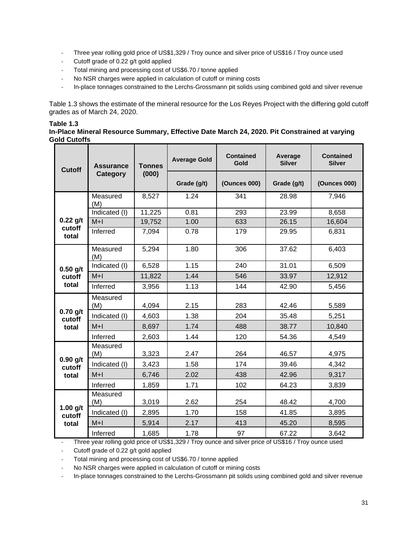- Three year rolling gold price of US\$1,329 / Troy ounce and silver price of US\$16 / Troy ounce used
- Cutoff grade of 0.22 g/t gold applied
- Total mining and processing cost of US\$6.70 / tonne applied
- No NSR charges were applied in calculation of cutoff or mining costs
- In-place tonnages constrained to the Lerchs-Grossmann pit solids using combined gold and silver revenue

Table 1.3 shows the estimate of the mineral resource for the Los Reyes Project with the differing gold cutoff grades as of March 24, 2020.

#### **Table 1.3**

#### **In-Place Mineral Resource Summary, Effective Date March 24, 2020. Pit Constrained at varying Gold Cutoffs**

| <b>Cutoff</b>        | <b>Assurance</b> | <b>Tonnes</b> | <b>Average Gold</b> | Contained<br>Gold   | Average<br><b>Silver</b> | <b>Contained</b><br><b>Silver</b> |
|----------------------|------------------|---------------|---------------------|---------------------|--------------------------|-----------------------------------|
|                      | Category         | (000)         | Grade (g/t)         | <b>(Ounces 000)</b> | Grade (g/t)              | <b>(Ounces 000)</b>               |
|                      | Measured<br>(M)  | 8,527         | 1.24                | 341                 | 28.98                    | 7,946                             |
|                      | Indicated (I)    | 11,225        | 0.81                | 293                 | 23.99                    | 8,658                             |
| $0.22$ g/t           | $M+1$            | 19,752        | 1.00                | 633                 | 26.15                    | 16,604                            |
| cutoff<br>total      | Inferred         | 7,094         | 0.78                | 179                 | 29.95                    | 6,831                             |
|                      | Measured<br>(M)  | 5,294         | 1.80                | 306                 | 37.62                    | 6,403                             |
| $0.50$ g/t           | Indicated (I)    | 6,528         | 1.15                | 240                 | 31.01                    | 6,509                             |
| cutoff               | $M+1$            | 11,822        | 1.44                | 546                 | 33.97                    | 12,912                            |
| total                | Inferred         | 3,956         | 1.13                | 144                 | 42.90                    | 5,456                             |
|                      | Measured<br>(M)  | 4,094         | 2.15                | 283                 | 42.46                    | 5,589                             |
| $0.70$ g/t<br>cutoff | Indicated (I)    | 4,603         | 1.38                | 204                 | 35.48                    | 5,251                             |
| total                | $M+1$            | 8,697         | 1.74                | 488                 | 38.77                    | 10,840                            |
|                      | Inferred         | 2,603         | 1.44                | 120                 | 54.36                    | 4,549                             |
|                      | Measured<br>(M)  | 3,323         | 2.47                | 264                 | 46.57                    | 4,975                             |
| $0.90$ g/t<br>cutoff | Indicated (I)    | 3,423         | 1.58                | 174                 | 39.46                    | 4,342                             |
| total                | $M+1$            | 6,746         | 2.02                | 438                 | 42.96                    | 9,317                             |
|                      | Inferred         | 1,859         | 1.71                | 102                 | 64.23                    | 3,839                             |
|                      | Measured<br>(M)  | 3,019         | 2.62                | 254                 | 48.42                    | 4,700                             |
| 1.00 $g/t$<br>cutoff | Indicated (I)    | 2,895         | 1.70                | 158                 | 41.85                    | 3,895                             |
| total                | $M+1$            | 5,914         | 2.17                | 413                 | 45.20                    | 8,595                             |
|                      | Inferred         | 1,685         | 1.78                | 97                  | 67.22                    | 3,642                             |

- Three year rolling gold price of US\$1,329 / Troy ounce and silver price of US\$16 / Troy ounce used

Cutoff grade of 0.22 g/t gold applied

Total mining and processing cost of US\$6.70 / tonne applied

- No NSR charges were applied in calculation of cutoff or mining costs

- In-place tonnages constrained to the Lerchs-Grossmann pit solids using combined gold and silver revenue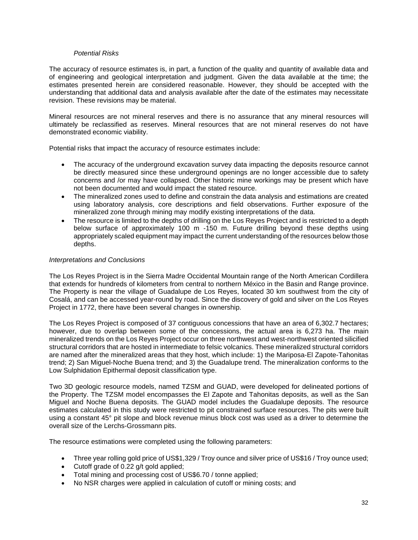#### *Potential Risks*

The accuracy of resource estimates is, in part, a function of the quality and quantity of available data and of engineering and geological interpretation and judgment. Given the data available at the time; the estimates presented herein are considered reasonable. However, they should be accepted with the understanding that additional data and analysis available after the date of the estimates may necessitate revision. These revisions may be material.

Mineral resources are not mineral reserves and there is no assurance that any mineral resources will ultimately be reclassified as reserves. Mineral resources that are not mineral reserves do not have demonstrated economic viability.

Potential risks that impact the accuracy of resource estimates include:

- The accuracy of the underground excavation survey data impacting the deposits resource cannot be directly measured since these underground openings are no longer accessible due to safety concerns and /or may have collapsed. Other historic mine workings may be present which have not been documented and would impact the stated resource.
- The mineralized zones used to define and constrain the data analysis and estimations are created using laboratory analysis, core descriptions and field observations. Further exposure of the mineralized zone through mining may modify existing interpretations of the data.
- The resource is limited to the depths of drilling on the Los Reyes Project and is restricted to a depth below surface of approximately 100 m -150 m. Future drilling beyond these depths using appropriately scaled equipment may impact the current understanding of the resources below those depths.

#### *Interpretations and Conclusions*

The Los Reyes Project is in the Sierra Madre Occidental Mountain range of the North American Cordillera that extends for hundreds of kilometers from central to northern México in the Basin and Range province. The Property is near the village of Guadalupe de Los Reyes, located 30 km southwest from the city of Cosalá, and can be accessed year-round by road. Since the discovery of gold and silver on the Los Reyes Project in 1772, there have been several changes in ownership.

The Los Reyes Project is composed of 37 contiguous concessions that have an area of 6,302.7 hectares; however, due to overlap between some of the concessions, the actual area is 6,273 ha. The main mineralized trends on the Los Reyes Project occur on three northwest and west-northwest oriented silicified structural corridors that are hosted in intermediate to felsic volcanics. These mineralized structural corridors are named after the mineralized areas that they host, which include: 1) the Mariposa-El Zapote-Tahonitas trend; 2) San Miguel-Noche Buena trend; and 3) the Guadalupe trend. The mineralization conforms to the Low Sulphidation Epithermal deposit classification type.

Two 3D geologic resource models, named TZSM and GUAD, were developed for delineated portions of the Property. The TZSM model encompasses the El Zapote and Tahonitas deposits, as well as the San Miguel and Noche Buena deposits. The GUAD model includes the Guadalupe deposits. The resource estimates calculated in this study were restricted to pit constrained surface resources. The pits were built using a constant 45° pit slope and block revenue minus block cost was used as a driver to determine the overall size of the Lerchs-Grossmann pits.

The resource estimations were completed using the following parameters:

- Three year rolling gold price of US\$1,329 / Troy ounce and silver price of US\$16 / Troy ounce used;
- Cutoff grade of 0.22 g/t gold applied;
- Total mining and processing cost of US\$6.70 / tonne applied;
- No NSR charges were applied in calculation of cutoff or mining costs; and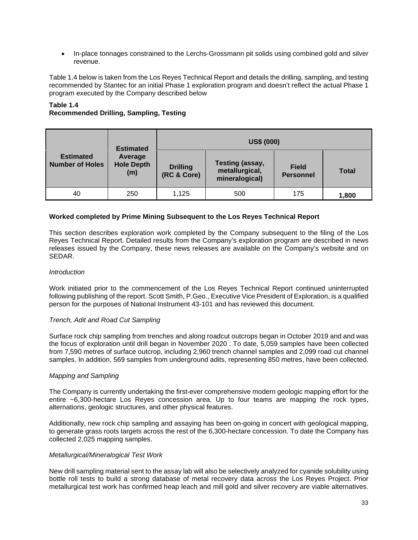In-place tonnages constrained to the Lerchs-Grossmann pit solids using combined gold and silver revenue.

Table 1.4 below is taken from the Los Reyes Technical Report and details the drilling, sampling, and testing recommended by Stantec for an initial Phase 1 exploration program and doesn't reflect the actual Phase 1 program executed by the Company described below

#### **Table 1.4**

### **Recommended Drilling, Sampling, Testing**

|                                            | <b>Estimated</b>                    |                                | <b>US\$ (000)</b>                                   |                                  |              |
|--------------------------------------------|-------------------------------------|--------------------------------|-----------------------------------------------------|----------------------------------|--------------|
| <b>Estimated</b><br><b>Number of Holes</b> | Average<br><b>Hole Depth</b><br>(m) | <b>Drilling</b><br>(RC & Core) | Testing (assay,<br>metallurgical,<br>mineralogical) | <b>Field</b><br><b>Personnel</b> | <b>Total</b> |
| 40                                         | 250                                 | 1,125                          | 500                                                 | 175                              | 1,800        |

#### **Worked completed by Prime Mining Subsequent to the Los Reyes Technical Report**

This section describes exploration work completed by the Company subsequent to the filing of the Los Reyes Technical Report. Detailed results from the Company's exploration program are described in news releases issued by the Company, these news releases are available on the Company's website and on SEDAR.

#### *Introduction*

Work initiated prior to the commencement of the Los Reyes Technical Report continued uninterrupted following publishing of the report. Scott Smith, P.Geo., Executive Vice President of Exploration, is a qualified person for the purposes of National Instrument 43-101 and has reviewed this document.

#### *Trench, Adit and Road Cut Sampling*

Surface rock chip sampling from trenches and along roadcut outcrops began in October 2019 and and was the focus of exploration until drill began in November 2020 . To date, 5,059 samples have been collected from 7,590 metres of surface outcrop, including 2,960 trench channel samples and 2,099 road cut channel samples. In addition, 569 samples from underground adits, representing 850 metres, have been collected.

#### *Mapping and Sampling*

The Company is currently undertaking the first-ever comprehensive modern geologic mapping effort for the entire ~6,300-hectare Los Reyes concession area. Up to four teams are mapping the rock types, alternations, geologic structures, and other physical features.

Additionally, new rock chip sampling and assaying has been on-going in concert with geological mapping, to generate grass roots targets across the rest of the 6,300-hectare concession. To date the Company has collected 2,025 mapping samples.

#### *Metallurgical/Mineralogical Test Work*

New drill sampling material sent to the assay lab will also be selectively analyzed for cyanide solubility using bottle roll tests to build a strong database of metal recovery data across the Los Reyes Project. Prior metallurgical test work has confirmed heap leach and mill gold and silver recovery are viable alternatives.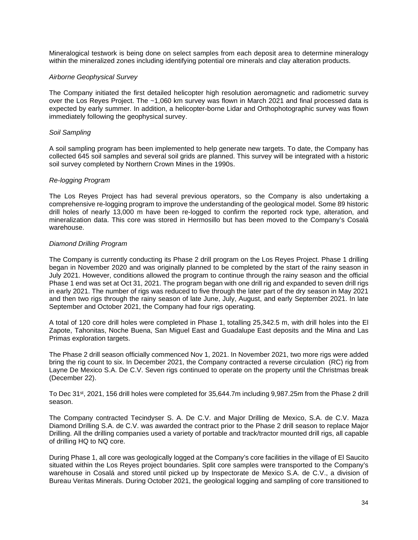Mineralogical testwork is being done on select samples from each deposit area to determine mineralogy within the mineralized zones including identifying potential ore minerals and clay alteration products.

#### *Airborne Geophysical Survey*

The Company initiated the first detailed helicopter high resolution aeromagnetic and radiometric survey over the Los Reyes Project. The ~1,060 km survey was flown in March 2021 and final processed data is expected by early summer. In addition, a helicopter-borne Lidar and Orthophotographic survey was flown immediately following the geophysical survey.

#### *Soil Sampling*

A soil sampling program has been implemented to help generate new targets. To date, the Company has collected 645 soil samples and several soil grids are planned. This survey will be integrated with a historic soil survey completed by Northern Crown Mines in the 1990s.

#### *Re-logging Program*

The Los Reyes Project has had several previous operators, so the Company is also undertaking a comprehensive re-logging program to improve the understanding of the geological model. Some 89 historic drill holes of nearly 13,000 m have been re-logged to confirm the reported rock type, alteration, and mineralization data. This core was stored in Hermosillo but has been moved to the Company's Cosalá warehouse.

#### *Diamond Drilling Program*

The Company is currently conducting its Phase 2 drill program on the Los Reyes Project. Phase 1 drilling began in November 2020 and was originally planned to be completed by the start of the rainy season in July 2021. However, conditions allowed the program to continue through the rainy season and the official Phase 1 end was set at Oct 31, 2021. The program began with one drill rig and expanded to seven drill rigs in early 2021. The number of rigs was reduced to five through the later part of the dry season in May 2021 and then two rigs through the rainy season of late June, July, August, and early September 2021. In late September and October 2021, the Company had four rigs operating.

A total of 120 core drill holes were completed in Phase 1, totalling 25,342.5 m, with drill holes into the El Zapote, Tahonitas, Noche Buena, San Miguel East and Guadalupe East deposits and the Mina and Las Primas exploration targets.

The Phase 2 drill season officially commenced Nov 1, 2021. In November 2021, two more rigs were added bring the rig count to six. In December 2021, the Company contracted a reverse circulation (RC) rig from Layne De Mexico S.A. De C.V. Seven rigs continued to operate on the property until the Christmas break (December 22).

To Dec 31st, 2021, 156 drill holes were completed for 35,644.7m including 9,987.25m from the Phase 2 drill season.

The Company contracted Tecindyser S. A. De C.V. and Major Drilling de Mexico, S.A. de C.V. Maza Diamond Drilling S.A. de C.V. was awarded the contract prior to the Phase 2 drill season to replace Major Drilling. All the drilling companies used a variety of portable and track/tractor mounted drill rigs, all capable of drilling HQ to NQ core.

During Phase 1, all core was geologically logged at the Company's core facilities in the village of El Saucito situated within the Los Reyes project boundaries. Split core samples were transported to the Company's warehouse in Cosalá and stored until picked up by Inspectorate de Mexico S.A. de C.V., a division of Bureau Veritas Minerals. During October 2021, the geological logging and sampling of core transitioned to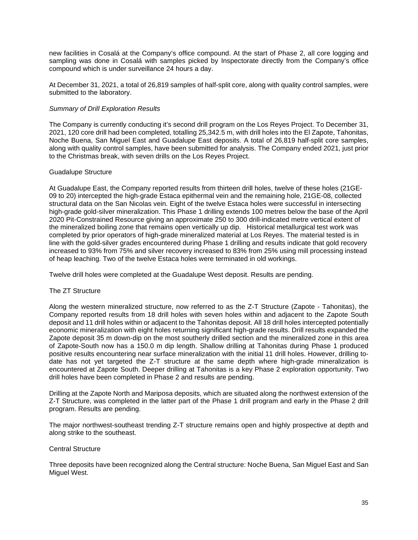new facilities in Cosalá at the Company's office compound. At the start of Phase 2, all core logging and sampling was done in Cosalá with samples picked by Inspectorate directly from the Company's office compound which is under surveillance 24 hours a day.

At December 31, 2021, a total of 26,819 samples of half-split core, along with quality control samples, were submitted to the laboratory.

#### *Summary of Drill Exploration Results*

The Company is currently conducting it's second drill program on the Los Reyes Project. To December 31, 2021, 120 core drill had been completed, totalling 25,342.5 m, with drill holes into the El Zapote, Tahonitas, Noche Buena, San Miguel East and Guadalupe East deposits. A total of 26,819 half-split core samples, along with quality control samples, have been submitted for analysis. The Company ended 2021, just prior to the Christmas break, with seven drills on the Los Reyes Project.

#### Guadalupe Structure

At Guadalupe East, the Company reported results from thirteen drill holes, twelve of these holes (21GE-09 to 20) intercepted the high-grade Estaca epithermal vein and the remaining hole, 21GE-08, collected structural data on the San Nicolas vein. Eight of the twelve Estaca holes were successful in intersecting high-grade gold-silver mineralization. This Phase 1 drilling extends 100 metres below the base of the April 2020 Pit-Constrained Resource giving an approximate 250 to 300 drill-indicated metre vertical extent of the mineralized boiling zone that remains open vertically up dip. Historical metallurgical test work was completed by prior operators of high-grade mineralized material at Los Reyes. The material tested is in line with the gold-silver grades encountered during Phase 1 drilling and results indicate that gold recovery increased to 93% from 75% and silver recovery increased to 83% from 25% using mill processing instead of heap leaching. Two of the twelve Estaca holes were terminated in old workings.

Twelve drill holes were completed at the Guadalupe West deposit. Results are pending.

#### The ZT Structure

Along the western mineralized structure, now referred to as the Z-T Structure (Zapote - Tahonitas), the Company reported results from 18 drill holes with seven holes within and adjacent to the Zapote South deposit and 11 drill holes within or adjacent to the Tahonitas deposit. All 18 drill holes intercepted potentially economic mineralization with eight holes returning significant high-grade results. Drill results expanded the Zapote deposit 35 m down-dip on the most southerly drilled section and the mineralized zone in this area of Zapote-South now has a 150.0 m dip length. Shallow drilling at Tahonitas during Phase 1 produced positive results encountering near surface mineralization with the initial 11 drill holes. However, drilling todate has not yet targeted the Z-T structure at the same depth where high-grade mineralization is encountered at Zapote South. Deeper drilling at Tahonitas is a key Phase 2 exploration opportunity. Two drill holes have been completed in Phase 2 and results are pending.

Drilling at the Zapote North and Mariposa deposits, which are situated along the northwest extension of the Z-T Structure, was completed in the latter part of the Phase 1 drill program and early in the Phase 2 drill program. Results are pending.

The major northwest-southeast trending Z-T structure remains open and highly prospective at depth and along strike to the southeast.

#### Central Structure

Three deposits have been recognized along the Central structure: Noche Buena, San Miguel East and San Miguel West.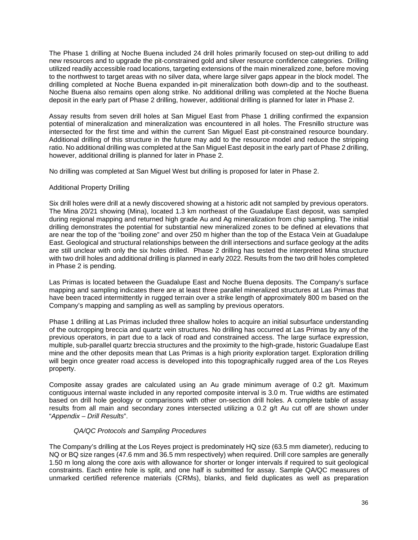The Phase 1 drilling at Noche Buena included 24 drill holes primarily focused on step-out drilling to add new resources and to upgrade the pit-constrained gold and silver resource confidence categories. Drilling utilized readily accessible road locations, targeting extensions of the main mineralized zone, before moving to the northwest to target areas with no silver data, where large silver gaps appear in the block model. The drilling completed at Noche Buena expanded in-pit mineralization both down-dip and to the southeast. Noche Buena also remains open along strike. No additional drilling was completed at the Noche Buena deposit in the early part of Phase 2 drilling, however, additional drilling is planned for later in Phase 2.

Assay results from seven drill holes at San Miguel East from Phase 1 drilling confirmed the expansion potential of mineralization and mineralization was encountered in all holes. The Fresnillo structure was intersected for the first time and within the current San Miguel East pit-constrained resource boundary. Additional drilling of this structure in the future may add to the resource model and reduce the stripping ratio. No additional drilling was completed at the San Miguel East deposit in the early part of Phase 2 drilling, however, additional drilling is planned for later in Phase 2.

No drilling was completed at San Miguel West but drilling is proposed for later in Phase 2.

#### Additional Property Drilling

Six drill holes were drill at a newly discovered showing at a historic adit not sampled by previous operators. The Mina 20/21 showing (Mina), located 1.3 km northeast of the Guadalupe East deposit, was sampled during regional mapping and returned high grade Au and Ag mineralization from chip sampling. The initial drilling demonstrates the potential for substantial new mineralized zones to be defined at elevations that are near the top of the "boiling zone" and over 250 m higher than the top of the Estaca Vein at Guadalupe East. Geological and structural relationships between the drill intersections and surface geology at the adits are still unclear with only the six holes drilled. Phase 2 drilling has tested the interpreted Mina structure with two drill holes and additional drilling is planned in early 2022. Results from the two drill holes completed in Phase 2 is pending.

Las Primas is located between the Guadalupe East and Noche Buena deposits. The Company's surface mapping and sampling indicates there are at least three parallel mineralized structures at Las Primas that have been traced intermittently in rugged terrain over a strike length of approximately 800 m based on the Company's mapping and sampling as well as sampling by previous operators.

Phase 1 drilling at Las Primas included three shallow holes to acquire an initial subsurface understanding of the outcropping breccia and quartz vein structures. No drilling has occurred at Las Primas by any of the previous operators, in part due to a lack of road and constrained access. The large surface expression, multiple, sub-parallel quartz breccia structures and the proximity to the high-grade, historic Guadalupe East mine and the other deposits mean that Las Primas is a high priority exploration target. Exploration drilling will begin once greater road access is developed into this topographically rugged area of the Los Reyes property.

Composite assay grades are calculated using an Au grade minimum average of 0.2 g/t. Maximum contiguous internal waste included in any reported composite interval is 3.0 m. True widths are estimated based on drill hole geology or comparisons with other on-section drill holes. A complete table of assay results from all main and secondary zones intersected utilizing a 0.2 g/t Au cut off are shown under "*Appendix – Drill Results*".

#### *QA/QC Protocols and Sampling Procedures*

The Company's drilling at the Los Reyes project is predominately HQ size (63.5 mm diameter), reducing to NQ or BQ size ranges (47.6 mm and 36.5 mm respectively) when required. Drill core samples are generally 1.50 m long along the core axis with allowance for shorter or longer intervals if required to suit geological constraints. Each entire hole is split, and one half is submitted for assay. Sample QA/QC measures of unmarked certified reference materials (CRMs), blanks, and field duplicates as well as preparation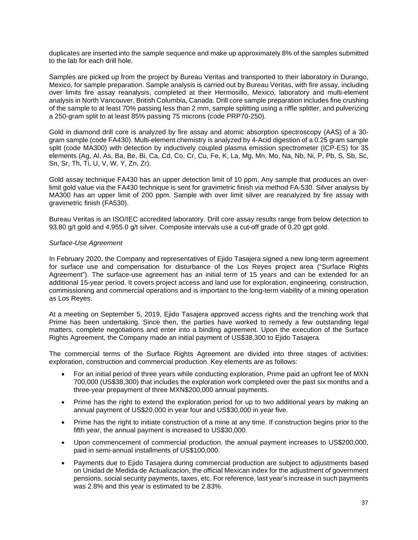duplicates are inserted into the sample sequence and make up approximately 8% of the samples submitted to the lab for each drill hole.

Samples are picked up from the project by Bureau Veritas and transported to their laboratory in Durango, Mexico, for sample preparation. Sample analysis is carried out by Bureau Veritas, with fire assay, including over limits fire assay reanalysis, completed at their Hermosillo, Mexico, laboratory and multi-element analysis in North Vancouver, British Columbia, Canada. Drill core sample preparation includes fine crushing of the sample to at least 70% passing less than 2 mm, sample splitting using a riffle splitter, and pulverizing a 250-gram split to at least 85% passing 75 microns (code PRP70-250).

Gold in diamond drill core is analyzed by fire assay and atomic absorption spectroscopy (AAS) of a 30 gram sample (code FA430). Multi-element chemistry is analyzed by 4-Acid digestion of a 0.25 gram sample split (code MA300) with detection by inductively coupled plasma emission spectrometer (ICP-ES) for 35 elements (Ag, Al, As, Ba, Be, Bi, Ca, Cd, Co, Cr, Cu, Fe, K, La, Mg, Mn, Mo, Na, Nb, Ni, P, Pb, S, Sb, Sc, Sn, Sr, Th, Ti, U, V, W, Y, Zn, Zr).

Gold assay technique FA430 has an upper detection limit of 10 ppm. Any sample that produces an overlimit gold value via the FA430 technique is sent for gravimetric finish via method FA-530. Silver analysis by MA300 has an upper limit of 200 ppm. Sample with over limit silver are reanalyzed by fire assay with gravimetric finish (FA530).

Bureau Veritas is an ISO/IEC accredited laboratory. Drill core assay results range from below detection to 93.80 g/t gold and 4,955.0 g/t silver. Composite intervals use a cut-off grade of 0.20 gpt gold.

#### *Surface-Use Agreement*

In February 2020, the Company and representatives of Ejido Tasajera signed a new long-term agreement for surface use and compensation for disturbance of the Los Reyes project area ("Surface Rights Agreement"). The surface-use agreement has an initial term of 15 years and can be extended for an additional 15-year period. It covers project access and land use for exploration, engineering, construction, commissioning and commercial operations and is important to the long-term viability of a mining operation as Los Reyes.

At a meeting on September 5, 2019, Ejido Tasajera approved access rights and the trenching work that Prime has been undertaking. Since then, the parties have worked to remedy a few outstanding legal matters, complete negotiations and enter into a binding agreement. Upon the execution of the Surface Rights Agreement, the Company made an initial payment of US\$38,300 to Ejido Tasajera.

The commercial terms of the Surface Rights Agreement are divided into three stages of activities: exploration, construction and commercial production. Key elements are as follows:

- For an initial period of three years while conducting exploration, Prime paid an upfront fee of MXN 700,000 (US\$38,300) that includes the exploration work completed over the past six months and a three-year prepayment of three MXN\$200,000 annual payments.
- Prime has the right to extend the exploration period for up to two additional years by making an annual payment of US\$20,000 in year four and US\$30,000 in year five.
- Prime has the right to initiate construction of a mine at any time. If construction begins prior to the fifth year, the annual payment is increased to US\$30,000.
- Upon commencement of commercial production, the annual payment increases to US\$200,000, paid in semi-annual installments of US\$100,000.
- Payments due to Ejido Tasajera during commercial production are subject to adjustments based on Unidad de Medida de Actualizacion, the official Mexican index for the adjustment of government pensions, social security payments, taxes, etc. For reference, last year's increase in such payments was 2.8% and this year is estimated to be 2.83%.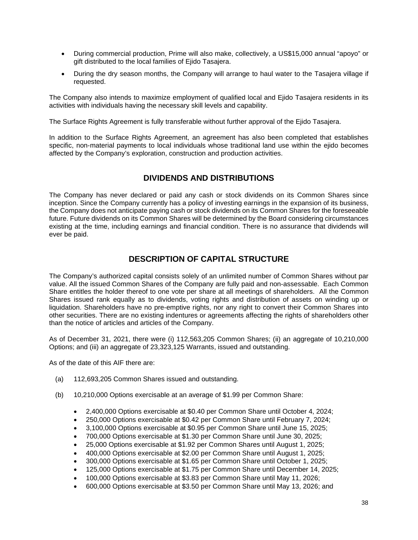- During commercial production, Prime will also make, collectively, a US\$15,000 annual "apoyo" or gift distributed to the local families of Ejido Tasajera.
- During the dry season months, the Company will arrange to haul water to the Tasajera village if requested.

The Company also intends to maximize employment of qualified local and Ejido Tasajera residents in its activities with individuals having the necessary skill levels and capability.

The Surface Rights Agreement is fully transferable without further approval of the Ejido Tasajera.

In addition to the Surface Rights Agreement, an agreement has also been completed that establishes specific, non-material payments to local individuals whose traditional land use within the ejido becomes affected by the Company's exploration, construction and production activities.

# **DIVIDENDS AND DISTRIBUTIONS**

The Company has never declared or paid any cash or stock dividends on its Common Shares since inception. Since the Company currently has a policy of investing earnings in the expansion of its business, the Company does not anticipate paying cash or stock dividends on its Common Shares for the foreseeable future. Future dividends on its Common Shares will be determined by the Board considering circumstances existing at the time, including earnings and financial condition. There is no assurance that dividends will ever be paid.

# **DESCRIPTION OF CAPITAL STRUCTURE**

The Company's authorized capital consists solely of an unlimited number of Common Shares without par value. All the issued Common Shares of the Company are fully paid and non-assessable. Each Common Share entitles the holder thereof to one vote per share at all meetings of shareholders. All the Common Shares issued rank equally as to dividends, voting rights and distribution of assets on winding up or liquidation. Shareholders have no pre-emptive rights, nor any right to convert their Common Shares into other securities. There are no existing indentures or agreements affecting the rights of shareholders other than the notice of articles and articles of the Company.

As of December 31, 2021, there were (i) 112,563,205 Common Shares; (ii) an aggregate of 10,210,000 Options; and (iii) an aggregate of 23,323,125 Warrants, issued and outstanding.

As of the date of this AIF there are:

- (a) 112,693,205 Common Shares issued and outstanding.
- (b) 10,210,000 Options exercisable at an average of \$1.99 per Common Share:
	- 2,400,000 Options exercisable at \$0.40 per Common Share until October 4, 2024;
	- 250,000 Options exercisable at \$0.42 per Common Share until February 7, 2024;
	- 3,100,000 Options exercisable at \$0.95 per Common Share until June 15, 2025;
	- 700,000 Options exercisable at \$1.30 per Common Share until June 30, 2025;
	- 25,000 Options exercisable at \$1.92 per Common Shares until August 1, 2025;
	- 400,000 Options exercisable at \$2.00 per Common Share until August 1, 2025;
	- 300,000 Options exercisable at \$1.65 per Common Share until October 1, 2025;
	- 125,000 Options exercisable at \$1.75 per Common Share until December 14, 2025;
	- 100,000 Options exercisable at \$3.83 per Common Share until May 11, 2026;
	- 600,000 Options exercisable at \$3.50 per Common Share until May 13, 2026; and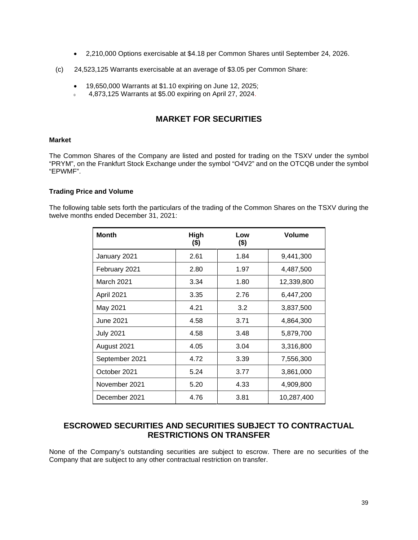- 2,210,000 Options exercisable at \$4.18 per Common Shares until September 24, 2026.
- (c) 24,523,125 Warrants exercisable at an average of \$3.05 per Common Share:
	- $\bullet$  19,650,000 Warrants at \$1.10 expiring on June 12, 2025;
	- 4,873,125 Warrants at \$5.00 expiring on April 27, 2024.

# **MARKET FOR SECURITIES**

#### **Market**

The Common Shares of the Company are listed and posted for trading on the TSXV under the symbol "PRYM", on the Frankfurt Stock Exchange under the symbol "O4V2" and on the OTCQB under the symbol "EPWMF".

#### **Trading Price and Volume**

The following table sets forth the particulars of the trading of the Common Shares on the TSXV during the twelve months ended December 31, 2021:

| <b>Month</b>     | High<br>$($ \$) | Low<br>$($ \$) | <b>Volume</b> |
|------------------|-----------------|----------------|---------------|
| January 2021     | 2.61            | 1.84           | 9,441,300     |
| February 2021    | 2.80            | 1.97           | 4,487,500     |
| March 2021       | 3.34            | 1.80           | 12,339,800    |
| April 2021       | 3.35            | 2.76           | 6,447,200     |
| May 2021         | 4.21            | 3.2            | 3,837,500     |
| June 2021        | 4.58            | 3.71           | 4,864,300     |
| <b>July 2021</b> | 4.58            | 3.48           | 5,879,700     |
| August 2021      | 4.05            | 3.04           | 3,316,800     |
| September 2021   | 4.72            | 3.39           | 7,556,300     |
| October 2021     | 5.24            | 3.77           | 3,861,000     |
| November 2021    | 5.20            | 4.33           | 4,909,800     |
| December 2021    | 4.76            | 3.81           | 10,287,400    |

# **ESCROWED SECURITIES AND SECURITIES SUBJECT TO CONTRACTUAL RESTRICTIONS ON TRANSFER**

None of the Company's outstanding securities are subject to escrow. There are no securities of the Company that are subject to any other contractual restriction on transfer.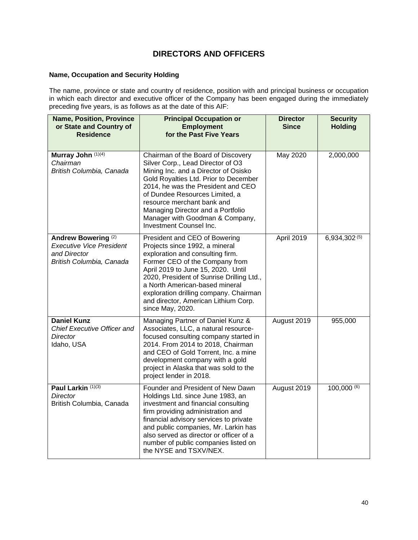# **DIRECTORS AND OFFICERS**

#### **Name, Occupation and Security Holding**

The name, province or state and country of residence, position with and principal business or occupation in which each director and executive officer of the Company has been engaged during the immediately preceding five years, is as follows as at the date of this AIF:

| <b>Name, Position, Province</b><br>or State and Country of<br><b>Residence</b>                                | <b>Principal Occupation or</b><br><b>Employment</b><br>for the Past Five Years                                                                                                                                                                                                                                                                                    | <b>Director</b><br><b>Since</b> | <b>Security</b><br><b>Holding</b> |
|---------------------------------------------------------------------------------------------------------------|-------------------------------------------------------------------------------------------------------------------------------------------------------------------------------------------------------------------------------------------------------------------------------------------------------------------------------------------------------------------|---------------------------------|-----------------------------------|
| Murray John (1)(4)<br>Chairman<br>British Columbia, Canada                                                    | Chairman of the Board of Discovery<br>Silver Corp., Lead Director of O3<br>Mining Inc. and a Director of Osisko<br>Gold Royalties Ltd. Prior to December<br>2014, he was the President and CEO<br>of Dundee Resources Limited, a<br>resource merchant bank and<br>Managing Director and a Portfolio<br>Manager with Goodman & Company,<br>Investment Counsel Inc. | May 2020                        | 2,000,000                         |
| Andrew Bowering <sup>(2)</sup><br><b>Executive Vice President</b><br>and Director<br>British Columbia, Canada | President and CEO of Bowering<br>Projects since 1992, a mineral<br>exploration and consulting firm.<br>Former CEO of the Company from<br>April 2019 to June 15, 2020. Until<br>2020, President of Sunrise Drilling Ltd.,<br>a North American-based mineral<br>exploration drilling company. Chairman<br>and director, American Lithium Corp.<br>since May, 2020.  | April 2019                      | 6,934,302 (5)                     |
| <b>Daniel Kunz</b><br>Chief Executive Officer and<br>Director<br>Idaho, USA                                   | Managing Partner of Daniel Kunz &<br>Associates, LLC, a natural resource-<br>focused consulting company started in<br>2014. From 2014 to 2018, Chairman<br>and CEO of Gold Torrent, Inc. a mine<br>development company with a gold<br>project in Alaska that was sold to the<br>project lender in 2018.                                                           | August 2019                     | 955,000                           |
| Paul Larkin (1)(3)<br>Director<br>British Columbia, Canada                                                    | Founder and President of New Dawn<br>Holdings Ltd. since June 1983, an<br>investment and financial consulting<br>firm providing administration and<br>financial advisory services to private<br>and public companies, Mr. Larkin has<br>also served as director or officer of a<br>number of public companies listed on<br>the NYSE and TSXV/NEX.                 | August 2019                     | 100,000(6)                        |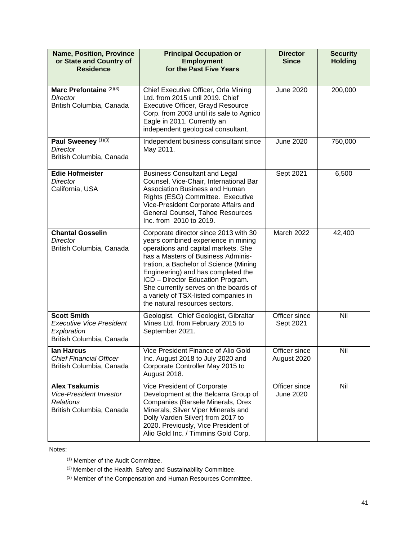| <b>Name, Position, Province</b><br>or State and Country of<br><b>Residence</b>                         | <b>Principal Occupation or</b><br><b>Employment</b><br>for the Past Five Years                                                                                                                                                                                                                                                                                                                    | <b>Director</b><br><b>Since</b>   | <b>Security</b><br><b>Holding</b> |
|--------------------------------------------------------------------------------------------------------|---------------------------------------------------------------------------------------------------------------------------------------------------------------------------------------------------------------------------------------------------------------------------------------------------------------------------------------------------------------------------------------------------|-----------------------------------|-----------------------------------|
| Marc Prefontaine (2)(3)<br>Director<br>British Columbia, Canada                                        | Chief Executive Officer, Orla Mining<br>Ltd. from 2015 until 2019. Chief<br><b>Executive Officer, Grayd Resource</b><br>Corp. from 2003 until its sale to Agnico<br>Eagle in 2011. Currently an<br>independent geological consultant.                                                                                                                                                             | <b>June 2020</b>                  | 200,000                           |
| Paul Sweeney (1)(3)<br>Director<br>British Columbia, Canada                                            | Independent business consultant since<br>May 2011.                                                                                                                                                                                                                                                                                                                                                | <b>June 2020</b>                  | 750,000                           |
| <b>Edie Hofmeister</b><br><b>Director</b><br>California, USA                                           | <b>Business Consultant and Legal</b><br>Counsel. Vice-Chair, International Bar<br>Association Business and Human<br>Rights (ESG) Committee. Executive<br>Vice-President Corporate Affairs and<br>General Counsel, Tahoe Resources<br>Inc. from 2010 to 2019.                                                                                                                                      | Sept 2021                         | 6,500                             |
| <b>Chantal Gosselin</b><br><b>Director</b><br>British Columbia, Canada                                 | Corporate director since 2013 with 30<br>years combined experience in mining<br>operations and capital markets. She<br>has a Masters of Business Adminis-<br>tration, a Bachelor of Science (Mining<br>Engineering) and has completed the<br>ICD - Director Education Program.<br>She currently serves on the boards of<br>a variety of TSX-listed companies in<br>the natural resources sectors. | March 2022                        | 42,400                            |
| <b>Scott Smith</b><br><b>Executive Vice President</b><br>Exploration<br>British Columbia, Canada       | Geologist. Chief Geologist, Gibraltar<br>Mines Ltd. from February 2015 to<br>September 2021.                                                                                                                                                                                                                                                                                                      | Officer since<br>Sept 2021        | Nil                               |
| lan Harcus<br><b>Chief Financial Officer</b><br>British Columbia, Canada                               | Vice President Finance of Alio Gold<br>Inc. August 2018 to July 2020 and<br>Corporate Controller May 2015 to<br>August 2018.                                                                                                                                                                                                                                                                      | Officer since<br>August 2020      | Nil                               |
| <b>Alex Tsakumis</b><br><b>Vice-President Investor</b><br><b>Relations</b><br>British Columbia, Canada | Vice President of Corporate<br>Development at the Belcarra Group of<br>Companies (Barsele Minerals, Orex<br>Minerals, Silver Viper Minerals and<br>Dolly Varden Silver) from 2017 to<br>2020. Previously, Vice President of<br>Alio Gold Inc. / Timmins Gold Corp.                                                                                                                                | Officer since<br><b>June 2020</b> | Nil                               |

Notes:

(1) Member of the Audit Committee.

 $(2)$  Member of the Health, Safety and Sustainability Committee.

(3) Member of the Compensation and Human Resources Committee.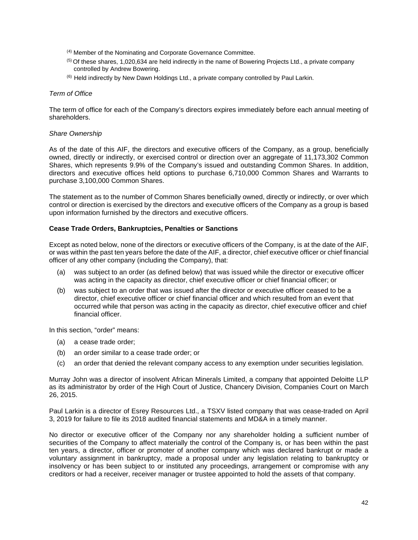- (4) Member of the Nominating and Corporate Governance Committee.
- $<sup>(5)</sup>$  Of these shares, 1,020,634 are held indirectly in the name of Bowering Projects Ltd., a private company</sup> controlled by Andrew Bowering.
- (6) Held indirectly by New Dawn Holdings Ltd., a private company controlled by Paul Larkin.

#### *Term of Office*

The term of office for each of the Company's directors expires immediately before each annual meeting of shareholders.

#### *Share Ownership*

As of the date of this AIF, the directors and executive officers of the Company, as a group, beneficially owned, directly or indirectly, or exercised control or direction over an aggregate of 11,173,302 Common Shares, which represents 9.9% of the Company's issued and outstanding Common Shares. In addition, directors and executive offices held options to purchase 6,710,000 Common Shares and Warrants to purchase 3,100,000 Common Shares.

The statement as to the number of Common Shares beneficially owned, directly or indirectly, or over which control or direction is exercised by the directors and executive officers of the Company as a group is based upon information furnished by the directors and executive officers.

#### **Cease Trade Orders, Bankruptcies, Penalties or Sanctions**

Except as noted below, none of the directors or executive officers of the Company, is at the date of the AIF, or was within the past ten years before the date of the AIF, a director, chief executive officer or chief financial officer of any other company (including the Company), that:

- (a) was subject to an order (as defined below) that was issued while the director or executive officer was acting in the capacity as director, chief executive officer or chief financial officer; or
- (b) was subject to an order that was issued after the director or executive officer ceased to be a director, chief executive officer or chief financial officer and which resulted from an event that occurred while that person was acting in the capacity as director, chief executive officer and chief financial officer.

In this section, "order" means:

- (a) a cease trade order;
- (b) an order similar to a cease trade order; or
- (c) an order that denied the relevant company access to any exemption under securities legislation.

Murray John was a director of insolvent African Minerals Limited, a company that appointed Deloitte LLP as its administrator by order of the High Court of Justice, Chancery Division, Companies Court on March 26, 2015.

Paul Larkin is a director of Esrey Resources Ltd., a TSXV listed company that was cease-traded on April 3, 2019 for failure to file its 2018 audited financial statements and MD&A in a timely manner.

No director or executive officer of the Company nor any shareholder holding a sufficient number of securities of the Company to affect materially the control of the Company is, or has been within the past ten years, a director, officer or promoter of another company which was declared bankrupt or made a voluntary assignment in bankruptcy, made a proposal under any legislation relating to bankruptcy or insolvency or has been subject to or instituted any proceedings, arrangement or compromise with any creditors or had a receiver, receiver manager or trustee appointed to hold the assets of that company.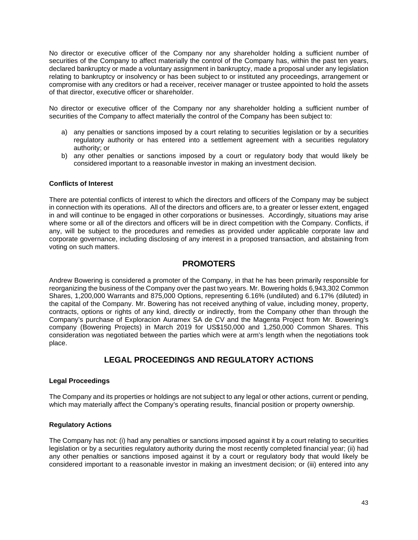No director or executive officer of the Company nor any shareholder holding a sufficient number of securities of the Company to affect materially the control of the Company has, within the past ten years, declared bankruptcy or made a voluntary assignment in bankruptcy, made a proposal under any legislation relating to bankruptcy or insolvency or has been subject to or instituted any proceedings, arrangement or compromise with any creditors or had a receiver, receiver manager or trustee appointed to hold the assets of that director, executive officer or shareholder.

No director or executive officer of the Company nor any shareholder holding a sufficient number of securities of the Company to affect materially the control of the Company has been subject to:

- a) any penalties or sanctions imposed by a court relating to securities legislation or by a securities regulatory authority or has entered into a settlement agreement with a securities regulatory authority; or
- b) any other penalties or sanctions imposed by a court or regulatory body that would likely be considered important to a reasonable investor in making an investment decision.

#### **Conflicts of Interest**

There are potential conflicts of interest to which the directors and officers of the Company may be subject in connection with its operations. All of the directors and officers are, to a greater or lesser extent, engaged in and will continue to be engaged in other corporations or businesses. Accordingly, situations may arise where some or all of the directors and officers will be in direct competition with the Company. Conflicts, if any, will be subject to the procedures and remedies as provided under applicable corporate law and corporate governance, including disclosing of any interest in a proposed transaction, and abstaining from voting on such matters.

### **PROMOTERS**

Andrew Bowering is considered a promoter of the Company, in that he has been primarily responsible for reorganizing the business of the Company over the past two years. Mr. Bowering holds 6,943,302 Common Shares, 1,200,000 Warrants and 875,000 Options, representing 6.16% (undiluted) and 6.17% (diluted) in the capital of the Company. Mr. Bowering has not received anything of value, including money, property, contracts, options or rights of any kind, directly or indirectly, from the Company other than through the Company's purchase of Exploracion Auramex SA de CV and the Magenta Project from Mr. Bowering's company (Bowering Projects) in March 2019 for US\$150,000 and 1,250,000 Common Shares. This consideration was negotiated between the parties which were at arm's length when the negotiations took place.

# **LEGAL PROCEEDINGS AND REGULATORY ACTIONS**

#### **Legal Proceedings**

The Company and its properties or holdings are not subject to any legal or other actions, current or pending, which may materially affect the Company's operating results, financial position or property ownership.

#### **Regulatory Actions**

The Company has not: (i) had any penalties or sanctions imposed against it by a court relating to securities legislation or by a securities regulatory authority during the most recently completed financial year; (ii) had any other penalties or sanctions imposed against it by a court or regulatory body that would likely be considered important to a reasonable investor in making an investment decision; or (iii) entered into any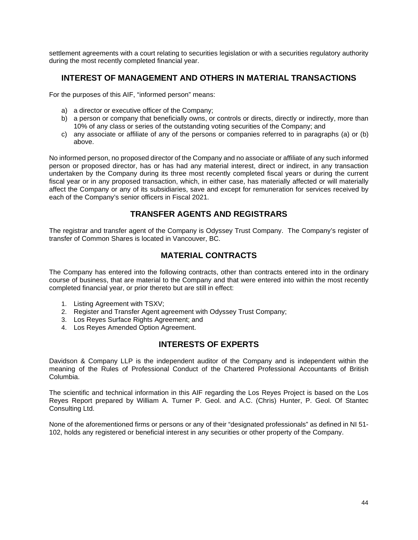settlement agreements with a court relating to securities legislation or with a securities regulatory authority during the most recently completed financial year.

# **INTEREST OF MANAGEMENT AND OTHERS IN MATERIAL TRANSACTIONS**

For the purposes of this AIF, "informed person" means:

- a) a director or executive officer of the Company;
- b) a person or company that beneficially owns, or controls or directs, directly or indirectly, more than 10% of any class or series of the outstanding voting securities of the Company; and
- c) any associate or affiliate of any of the persons or companies referred to in paragraphs (a) or (b) above.

No informed person, no proposed director of the Company and no associate or affiliate of any such informed person or proposed director, has or has had any material interest, direct or indirect, in any transaction undertaken by the Company during its three most recently completed fiscal years or during the current fiscal year or in any proposed transaction, which, in either case, has materially affected or will materially affect the Company or any of its subsidiaries, save and except for remuneration for services received by each of the Company's senior officers in Fiscal 2021.

# **TRANSFER AGENTS AND REGISTRARS**

The registrar and transfer agent of the Company is Odyssey Trust Company. The Company's register of transfer of Common Shares is located in Vancouver, BC.

# **MATERIAL CONTRACTS**

The Company has entered into the following contracts, other than contracts entered into in the ordinary course of business, that are material to the Company and that were entered into within the most recently completed financial year, or prior thereto but are still in effect:

- 1. Listing Agreement with TSXV;
- 2. Register and Transfer Agent agreement with Odyssey Trust Company;
- 3. Los Reyes Surface Rights Agreement; and
- 4. Los Reyes Amended Option Agreement.

# **INTERESTS OF EXPERTS**

Davidson & Company LLP is the independent auditor of the Company and is independent within the meaning of the Rules of Professional Conduct of the Chartered Professional Accountants of British Columbia.

The scientific and technical information in this AIF regarding the Los Reyes Project is based on the Los Reyes Report prepared by William A. Turner P. Geol. and A.C. (Chris) Hunter, P. Geol. Of Stantec Consulting Ltd.

None of the aforementioned firms or persons or any of their "designated professionals" as defined in NI 51- 102, holds any registered or beneficial interest in any securities or other property of the Company.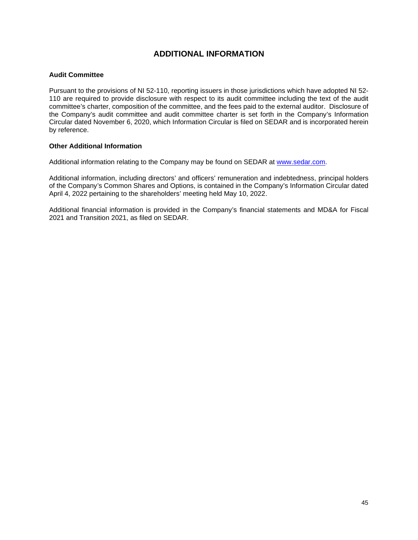# **ADDITIONAL INFORMATION**

#### **Audit Committee**

Pursuant to the provisions of NI 52-110, reporting issuers in those jurisdictions which have adopted NI 52- 110 are required to provide disclosure with respect to its audit committee including the text of the audit committee's charter, composition of the committee, and the fees paid to the external auditor. Disclosure of the Company's audit committee and audit committee charter is set forth in the Company's Information Circular dated November 6, 2020, which Information Circular is filed on SEDAR and is incorporated herein by reference.

#### **Other Additional Information**

Additional information relating to the Company may be found on SEDAR at www.sedar.com.

Additional information, including directors' and officers' remuneration and indebtedness, principal holders of the Company's Common Shares and Options, is contained in the Company's Information Circular dated April 4, 2022 pertaining to the shareholders' meeting held May 10, 2022.

Additional financial information is provided in the Company's financial statements and MD&A for Fiscal 2021 and Transition 2021, as filed on SEDAR.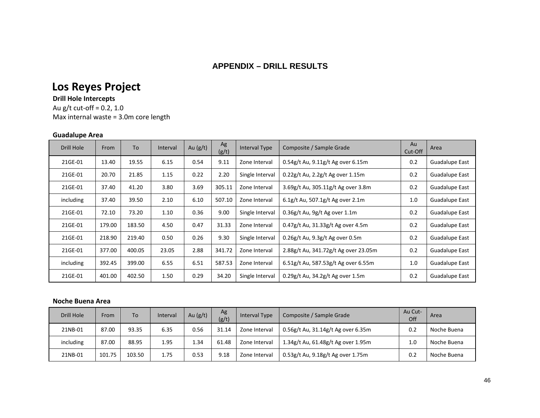# **APPENDIX – DRILL RESULTS**

# **Los Reyes Project**

### **Drill Hole Intercepts**

Au g/t cut-off = 0.2, 1.0 Max internal waste = 3.0m core length

#### **Guadalupe Area**

| Drill Hole | From   | To     | Interval | Au $(g/t)$ | Ag<br>(g/t) | Interval Type   | Composite / Sample Grade             | Au<br>Cut-Off | Area           |
|------------|--------|--------|----------|------------|-------------|-----------------|--------------------------------------|---------------|----------------|
| 21GE-01    | 13.40  | 19.55  | 6.15     | 0.54       | 9.11        | Zone Interval   | 0.54g/t Au, 9.11g/t Ag over 6.15m    | 0.2           | Guadalupe East |
| 21GE-01    | 20.70  | 21.85  | 1.15     | 0.22       | 2.20        | Single Interval | 0.22g/t Au, 2.2g/t Ag over 1.15m     | 0.2           | Guadalupe East |
| 21GE-01    | 37.40  | 41.20  | 3.80     | 3.69       | 305.11      | Zone Interval   | 3.69g/t Au, 305.11g/t Ag over 3.8m   | 0.2           | Guadalupe East |
| including  | 37.40  | 39.50  | 2.10     | 6.10       | 507.10      | Zone Interval   | 6.1g/t Au, 507.1g/t Ag over 2.1m     | 1.0           | Guadalupe East |
| 21GE-01    | 72.10  | 73.20  | 1.10     | 0.36       | 9.00        | Single Interval | 0.36g/t Au, 9g/t Ag over 1.1m        | 0.2           | Guadalupe East |
| 21GE-01    | 179.00 | 183.50 | 4.50     | 0.47       | 31.33       | Zone Interval   | 0.47g/t Au, 31.33g/t Ag over 4.5m    | 0.2           | Guadalupe East |
| 21GE-01    | 218.90 | 219.40 | 0.50     | 0.26       | 9.30        | Single Interval | 0.26g/t Au, 9.3g/t Ag over 0.5m      | 0.2           | Guadalupe East |
| 21GE-01    | 377.00 | 400.05 | 23.05    | 2.88       | 341.72      | Zone Interval   | 2.88g/t Au, 341.72g/t Ag over 23.05m | 0.2           | Guadalupe East |
| including  | 392.45 | 399.00 | 6.55     | 6.51       | 587.53      | Zone Interval   | 6.51g/t Au, 587.53g/t Ag over 6.55m  | 1.0           | Guadalupe East |
| 21GE-01    | 401.00 | 402.50 | 1.50     | 0.29       | 34.20       | Single Interval | 0.29g/t Au, 34.2g/t Ag over 1.5m     | 0.2           | Guadalupe East |

#### **Noche Buena Area**

| Drill Hole | From   | To \   | Interval | Au $(g/t)$ | Ag<br>(g/t) | Interval Type | Composite / Sample Grade           | Au Cut-<br>Off | Area        |
|------------|--------|--------|----------|------------|-------------|---------------|------------------------------------|----------------|-------------|
| 21NB-01    | 87.00  | 93.35  | 6.35     | 0.56       | 31.14       | Zone Interval | 0.56g/t Au, 31.14g/t Ag over 6.35m | 0.2            | Noche Buena |
| including  | 87.00  | 88.95  | 1.95     | 34ء۔       | 61.48       | Zone Interval | 1.34g/t Au, 61.48g/t Ag over 1.95m | 1.0            | Noche Buena |
| 21NB-01    | 101.75 | 103.50 | 1.75     | 0.53       | 9.18        | Zone Interval | 0.53g/t Au, 9.18g/t Ag over 1.75m  | 0.2            | Noche Buena |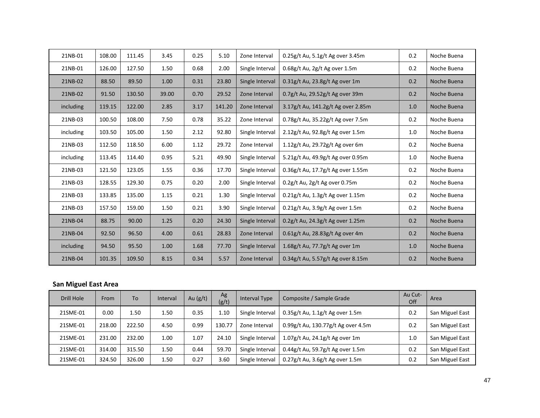| 21NB-01   | 108.00 | 111.45 | 3.45  | 0.25 | 5.10   | Zone Interval   | 0.25g/t Au, 5.1g/t Ag over 3.45m       | 0.2 | Noche Buena |
|-----------|--------|--------|-------|------|--------|-----------------|----------------------------------------|-----|-------------|
| 21NB-01   | 126.00 | 127.50 | 1.50  | 0.68 | 2.00   | Single Interval | 0.68g/t Au, 2g/t Ag over 1.5m          | 0.2 | Noche Buena |
| 21NB-02   | 88.50  | 89.50  | 1.00  | 0.31 | 23.80  | Single Interval | $0.31$ g/t Au, 23.8g/t Ag over 1m      | 0.2 | Noche Buena |
| 21NB-02   | 91.50  | 130.50 | 39.00 | 0.70 | 29.52  | Zone Interval   | 0.7g/t Au, 29.52g/t Ag over 39m        | 0.2 | Noche Buena |
| including | 119.15 | 122.00 | 2.85  | 3.17 | 141.20 | Zone Interval   | 3.17g/t Au, 141.2g/t Ag over 2.85m     | 1.0 | Noche Buena |
| 21NB-03   | 100.50 | 108.00 | 7.50  | 0.78 | 35.22  | Zone Interval   | 0.78g/t Au, 35.22g/t Ag over 7.5m      | 0.2 | Noche Buena |
| including | 103.50 | 105.00 | 1.50  | 2.12 | 92.80  | Single Interval | 2.12g/t Au, 92.8g/t Ag over 1.5m       | 1.0 | Noche Buena |
| 21NB-03   | 112.50 | 118.50 | 6.00  | 1.12 | 29.72  | Zone Interval   | $1.12$ g/t Au, 29.72g/t Ag over 6m     | 0.2 | Noche Buena |
| including | 113.45 | 114.40 | 0.95  | 5.21 | 49.90  | Single Interval | 5.21g/t Au, 49.9g/t Ag over 0.95m      | 1.0 | Noche Buena |
| 21NB-03   | 121.50 | 123.05 | 1.55  | 0.36 | 17.70  | Single Interval | 0.36g/t Au, 17.7g/t Ag over 1.55m      | 0.2 | Noche Buena |
| 21NB-03   | 128.55 | 129.30 | 0.75  | 0.20 | 2.00   | Single Interval | $0.2$ g/t Au, 2g/t Ag over 0.75m       | 0.2 | Noche Buena |
| 21NB-03   | 133.85 | 135.00 | 1.15  | 0.21 | 1.30   | Single Interval | $0.21$ g/t Au, $1.3$ g/t Ag over 1.15m | 0.2 | Noche Buena |
| 21NB-03   | 157.50 | 159.00 | 1.50  | 0.21 | 3.90   | Single Interval | 0.21g/t Au, 3.9g/t Ag over 1.5m        | 0.2 | Noche Buena |
| 21NB-04   | 88.75  | 90.00  | 1.25  | 0.20 | 24.30  | Single Interval | 0.2g/t Au, 24.3g/t Ag over 1.25m       | 0.2 | Noche Buena |
| 21NB-04   | 92.50  | 96.50  | 4.00  | 0.61 | 28.83  | Zone Interval   | 0.61g/t Au, 28.83g/t Ag over 4m        | 0.2 | Noche Buena |
| including | 94.50  | 95.50  | 1.00  | 1.68 | 77.70  | Single Interval | 1.68g/t Au, 77.7g/t Ag over 1m         | 1.0 | Noche Buena |
| 21NB-04   | 101.35 | 109.50 | 8.15  | 0.34 | 5.57   | Zone Interval   | 0.34g/t Au, 5.57g/t Ag over 8.15m      | 0.2 | Noche Buena |

# **San Miguel East Area**

| Drill Hole | From   | To     | Interval | Au $(g/t)$ | Ag<br>(g/t) | Interval Type   | Composite / Sample Grade           | Au Cut-<br>Off | Area            |
|------------|--------|--------|----------|------------|-------------|-----------------|------------------------------------|----------------|-----------------|
| 21SME-01   | 0.00   | 1.50   | 1.50     | 0.35       | 1.10        | Single Interval | $0.35$ g/t Au, 1.1g/t Ag over 1.5m | 0.2            | San Miguel East |
| 21SME-01   | 218.00 | 222.50 | 4.50     | 0.99       | 130.77      | Zone Interval   | 0.99g/t Au, 130.77g/t Ag over 4.5m | 0.2            | San Miguel East |
| 21SME-01   | 231.00 | 232.00 | 1.00     | 1.07       | 24.10       | Single Interval | 1.07g/t Au, 24.1g/t Ag over 1m     | 1.0            | San Miguel East |
| 21SME-01   | 314.00 | 315.50 | 1.50     | 0.44       | 59.70       | Single Interval | 0.44g/t Au, 59.7g/t Ag over 1.5m   | 0.2            | San Miguel East |
| 21SME-01   | 324.50 | 326.00 | 1.50     | 0.27       | 3.60        | Single Interval | 0.27g/t Au, 3.6g/t Ag over 1.5m    | 0.2            | San Miguel East |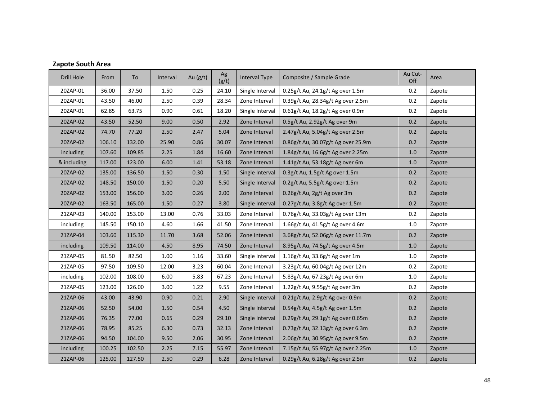| Drill Hole  | From   | To     | Interval | Au $(g/t)$ | Ag<br>(g/t) | <b>Interval Type</b> | Composite / Sample Grade           | Au Cut-<br>Off | Area   |
|-------------|--------|--------|----------|------------|-------------|----------------------|------------------------------------|----------------|--------|
| 20ZAP-01    | 36.00  | 37.50  | 1.50     | 0.25       | 24.10       | Single Interval      | 0.25g/t Au, 24.1g/t Ag over 1.5m   | 0.2            | Zapote |
| 20ZAP-01    | 43.50  | 46.00  | 2.50     | 0.39       | 28.34       | Zone Interval        | 0.39g/t Au, 28.34g/t Ag over 2.5m  | 0.2            | Zapote |
| 20ZAP-01    | 62.85  | 63.75  | 0.90     | 0.61       | 18.20       | Single Interval      | 0.61g/t Au, 18.2g/t Ag over 0.9m   | 0.2            | Zapote |
| 20ZAP-02    | 43.50  | 52.50  | 9.00     | 0.50       | 2.92        | Zone Interval        | 0.5g/t Au, 2.92g/t Ag over 9m      | 0.2            | Zapote |
| 20ZAP-02    | 74.70  | 77.20  | 2.50     | 2.47       | 5.04        | Zone Interval        | 2.47g/t Au, 5.04g/t Ag over 2.5m   | 0.2            | Zapote |
| 20ZAP-02    | 106.10 | 132.00 | 25.90    | 0.86       | 30.07       | Zone Interval        | 0.86g/t Au, 30.07g/t Ag over 25.9m | 0.2            | Zapote |
| including   | 107.60 | 109.85 | 2.25     | 1.84       | 16.60       | Zone Interval        | 1.84g/t Au, 16.6g/t Ag over 2.25m  | $1.0$          | Zapote |
| & including | 117.00 | 123.00 | 6.00     | 1.41       | 53.18       | Zone Interval        | 1.41g/t Au, 53.18g/t Ag over 6m    | 1.0            | Zapote |
| 20ZAP-02    | 135.00 | 136.50 | 1.50     | 0.30       | 1.50        | Single Interval      | 0.3g/t Au, 1.5g/t Ag over 1.5m     | 0.2            | Zapote |
| 20ZAP-02    | 148.50 | 150.00 | 1.50     | 0.20       | 5.50        | Single Interval      | 0.2g/t Au, 5.5g/t Ag over 1.5m     | 0.2            | Zapote |
| 20ZAP-02    | 153.00 | 156.00 | 3.00     | 0.26       | 2.00        | Zone Interval        | 0.26g/t Au, 2g/t Ag over 3m        | 0.2            | Zapote |
| 20ZAP-02    | 163.50 | 165.00 | 1.50     | 0.27       | 3.80        | Single Interval      | 0.27g/t Au, 3.8g/t Ag over 1.5m    | 0.2            | Zapote |
| 21ZAP-03    | 140.00 | 153.00 | 13.00    | 0.76       | 33.03       | Zone Interval        | 0.76g/t Au, 33.03g/t Ag over 13m   | 0.2            | Zapote |
| including   | 145.50 | 150.10 | 4.60     | 1.66       | 41.50       | Zone Interval        | 1.66g/t Au, 41.5g/t Ag over 4.6m   | 1.0            | Zapote |
| 21ZAP-04    | 103.60 | 115.30 | 11.70    | 3.68       | 52.06       | Zone Interval        | 3.68g/t Au, 52.06g/t Ag over 11.7m | 0.2            | Zapote |
| including   | 109.50 | 114.00 | 4.50     | 8.95       | 74.50       | Zone Interval        | 8.95g/t Au, 74.5g/t Ag over 4.5m   | 1.0            | Zapote |
| 21ZAP-05    | 81.50  | 82.50  | 1.00     | 1.16       | 33.60       | Single Interval      | 1.16g/t Au, 33.6g/t Ag over 1m     | $1.0\,$        | Zapote |
| 21ZAP-05    | 97.50  | 109.50 | 12.00    | 3.23       | 60.04       | Zone Interval        | 3.23g/t Au, 60.04g/t Ag over 12m   | 0.2            | Zapote |
| including   | 102.00 | 108.00 | 6.00     | 5.83       | 67.23       | Zone Interval        | 5.83g/t Au, 67.23g/t Ag over 6m    | 1.0            | Zapote |
| 21ZAP-05    | 123.00 | 126.00 | 3.00     | 1.22       | 9.55        | Zone Interval        | 1.22g/t Au, 9.55g/t Ag over 3m     | 0.2            | Zapote |
| 21ZAP-06    | 43.00  | 43.90  | 0.90     | 0.21       | 2.90        | Single Interval      | 0.21g/t Au, 2.9g/t Ag over 0.9m    | 0.2            | Zapote |
| 21ZAP-06    | 52.50  | 54.00  | 1.50     | 0.54       | 4.50        | Single Interval      | 0.54g/t Au, 4.5g/t Ag over 1.5m    | 0.2            | Zapote |
| 21ZAP-06    | 76.35  | 77.00  | 0.65     | 0.29       | 29.10       | Single Interval      | 0.29g/t Au, 29.1g/t Ag over 0.65m  | 0.2            | Zapote |
| 21ZAP-06    | 78.95  | 85.25  | 6.30     | 0.73       | 32.13       | Zone Interval        | 0.73g/t Au, 32.13g/t Ag over 6.3m  | 0.2            | Zapote |
| 21ZAP-06    | 94.50  | 104.00 | 9.50     | 2.06       | 30.95       | Zone Interval        | 2.06g/t Au, 30.95g/t Ag over 9.5m  | 0.2            | Zapote |
| including   | 100.25 | 102.50 | 2.25     | 7.15       | 55.97       | Zone Interval        | 7.15g/t Au, 55.97g/t Ag over 2.25m | 1.0            | Zapote |
| 21ZAP-06    | 125.00 | 127.50 | 2.50     | 0.29       | 6.28        | Zone Interval        | 0.29g/t Au, 6.28g/t Ag over 2.5m   | 0.2            | Zapote |

# **Zapote South Area**